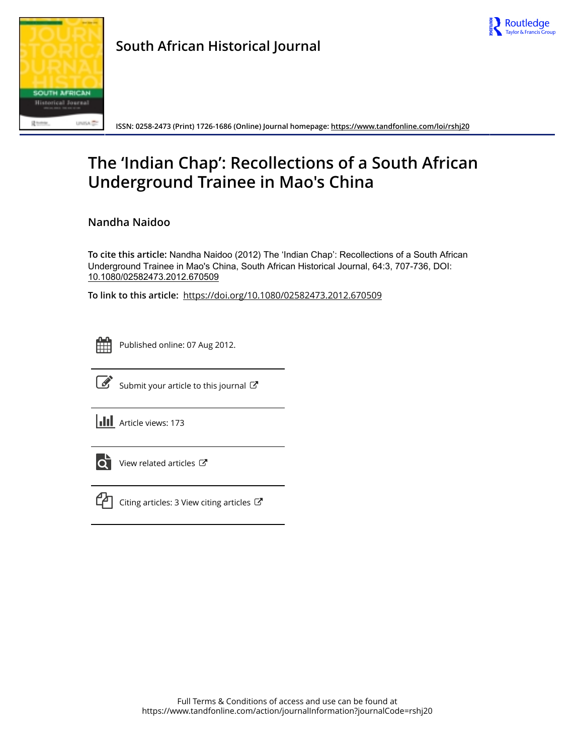

**South African Historical Journal**

**ISSN: 0258-2473 (Print) 1726-1686 (Online) Journal homepage:<https://www.tandfonline.com/loi/rshj20>**

# **The 'Indian Chap': Recollections of a South African Underground Trainee in Mao's China**

**Nandha Naidoo**

**To cite this article:** Nandha Naidoo (2012) The 'Indian Chap': Recollections of a South African Underground Trainee in Mao's China, South African Historical Journal, 64:3, 707-736, DOI: [10.1080/02582473.2012.670509](https://www.tandfonline.com/action/showCitFormats?doi=10.1080/02582473.2012.670509)

**To link to this article:** <https://doi.org/10.1080/02582473.2012.670509>



Published online: 07 Aug 2012.



 $\overrightarrow{S}$  [Submit your article to this journal](https://www.tandfonline.com/action/authorSubmission?journalCode=rshj20&show=instructions)  $\overrightarrow{S}$ 

**III** Article views: 173



 $\overrightarrow{O}$  [View related articles](https://www.tandfonline.com/doi/mlt/10.1080/02582473.2012.670509)  $\overrightarrow{C}$ 



 $\mathbb{C}$  [Citing articles: 3 View citing articles](https://www.tandfonline.com/doi/citedby/10.1080/02582473.2012.670509#tabModule)  $\mathbb{C}$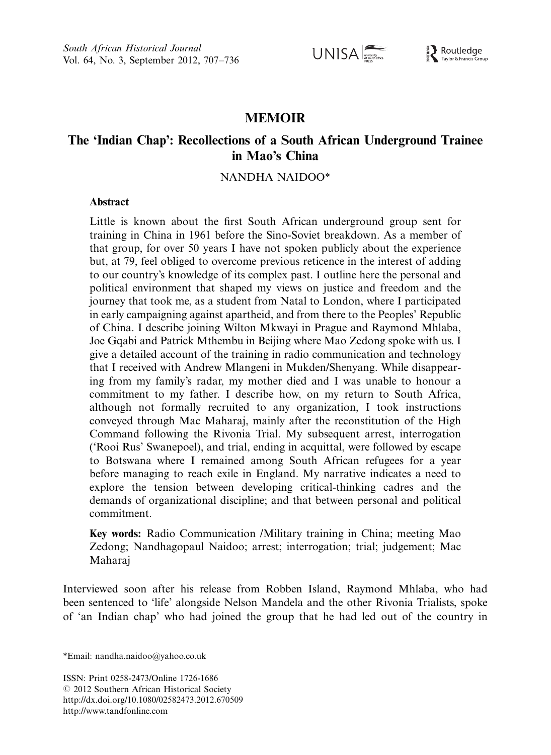South African Historical Journal Vol. 64, No. 3, September 2012, 707-736  $UNISA$   $\widetilde{\phantom{iiiiiiiiiiiiiiiiiiiiiiiiiiiiiiiiiiiiiiiiiiii}}$ 

# **MEMOIR**

# The 'Indian Chap': Recollections of a South African Underground Trainee in Mao's China

# NANDHA NAIDOO\*

#### Abstract

Little is known about the first South African underground group sent for training in China in 1961 before the Sino-Soviet breakdown. As a member of that group, for over 50 years I have not spoken publicly about the experience but, at 79, feel obliged to overcome previous reticence in the interest of adding to our country's knowledge of its complex past. I outline here the personal and political environment that shaped my views on justice and freedom and the journey that took me, as a student from Natal to London, where I participated in early campaigning against apartheid, and from there to the Peoples' Republic of China. I describe joining Wilton Mkwayi in Prague and Raymond Mhlaba, Joe Gqabi and Patrick Mthembu in Beijing where Mao Zedong spoke with us. I give a detailed account of the training in radio communication and technology that I received with Andrew Mlangeni in Mukden/Shenyang. While disappearing from my family's radar, my mother died and I was unable to honour a commitment to my father. I describe how, on my return to South Africa, although not formally recruited to any organization, I took instructions conveyed through Mac Maharaj, mainly after the reconstitution of the High Command following the Rivonia Trial. My subsequent arrest, interrogation ('Rooi Rus' Swanepoel), and trial, ending in acquittal, were followed by escape to Botswana where I remained among South African refugees for a year before managing to reach exile in England. My narrative indicates a need to explore the tension between developing critical-thinking cadres and the demands of organizational discipline; and that between personal and political commitment.

Key words: Radio Communication /Military training in China; meeting Mao Zedong; Nandhagopaul Naidoo; arrest; interrogation; trial; judgement; Mac Maharaj

Interviewed soon after his release from Robben Island, Raymond Mhlaba, who had been sentenced to 'life' alongside Nelson Mandela and the other Rivonia Trialists, spoke of 'an Indian chap' who had joined the group that he had led out of the country in

\*Email: nandha.naidoo@yahoo.co.uk

ISSN: Print 0258-2473/Online 1726-1686  $©$  2012 Southern African Historical Society <http://dx.doi.org/10.1080/02582473.2012.670509> <http://www.tandfonline.com>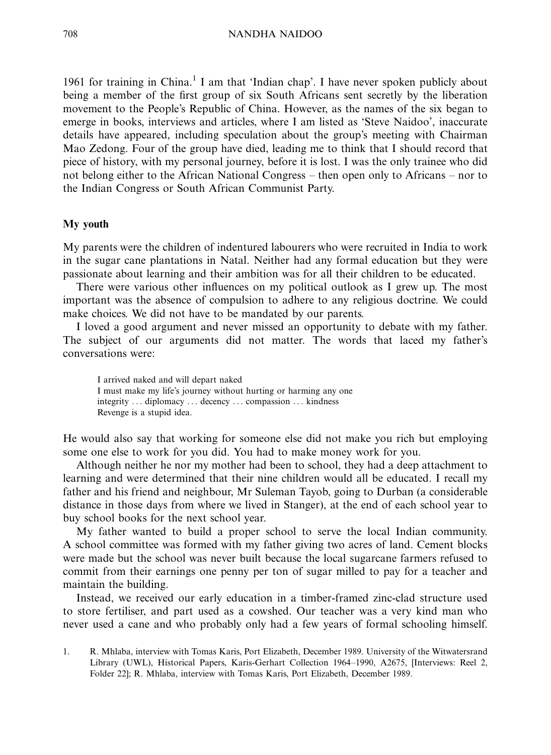1961 for training in China.<sup>1</sup> I am that 'Indian chap'. I have never spoken publicly about being a member of the first group of six South Africans sent secretly by the liberation movement to the People's Republic of China. However, as the names of the six began to emerge in books, interviews and articles, where I am listed as 'Steve Naidoo', inaccurate details have appeared, including speculation about the group's meeting with Chairman Mao Zedong. Four of the group have died, leading me to think that I should record that piece of history, with my personal journey, before it is lost. I was the only trainee who did not belong either to the African National Congress – then open only to Africans – nor to the Indian Congress or South African Communist Party.

# My youth

My parents were the children of indentured labourers who were recruited in India to work in the sugar cane plantations in Natal. Neither had any formal education but they were passionate about learning and their ambition was for all their children to be educated.

There were various other influences on my political outlook as I grew up. The most important was the absence of compulsion to adhere to any religious doctrine. We could make choices. We did not have to be mandated by our parents.

I loved a good argument and never missed an opportunity to debate with my father. The subject of our arguments did not matter. The words that laced my father's conversations were:

I arrived naked and will depart naked I must make my life's journey without hurting or harming any one integrity ... diplomacy ... decency ... compassion ... kindness Revenge is a stupid idea.

He would also say that working for someone else did not make you rich but employing some one else to work for you did. You had to make money work for you.

Although neither he nor my mother had been to school, they had a deep attachment to learning and were determined that their nine children would all be educated. I recall my father and his friend and neighbour, Mr Suleman Tayob, going to Durban (a considerable distance in those days from where we lived in Stanger), at the end of each school year to buy school books for the next school year.

My father wanted to build a proper school to serve the local Indian community. A school committee was formed with my father giving two acres of land. Cement blocks were made but the school was never built because the local sugarcane farmers refused to commit from their earnings one penny per ton of sugar milled to pay for a teacher and maintain the building.

Instead, we received our early education in a timber-framed zinc-clad structure used to store fertiliser, and part used as a cowshed. Our teacher was a very kind man who never used a cane and who probably only had a few years of formal schooling himself.

<sup>1.</sup> R. Mhlaba, interview with Tomas Karis, Port Elizabeth, December 1989. University of the Witwatersrand Library (UWL), Historical Papers, Karis-Gerhart Collection 1964–1990, A2675, [Interviews: Reel 2, Folder 22]; R. Mhlaba, interview with Tomas Karis, Port Elizabeth, December 1989.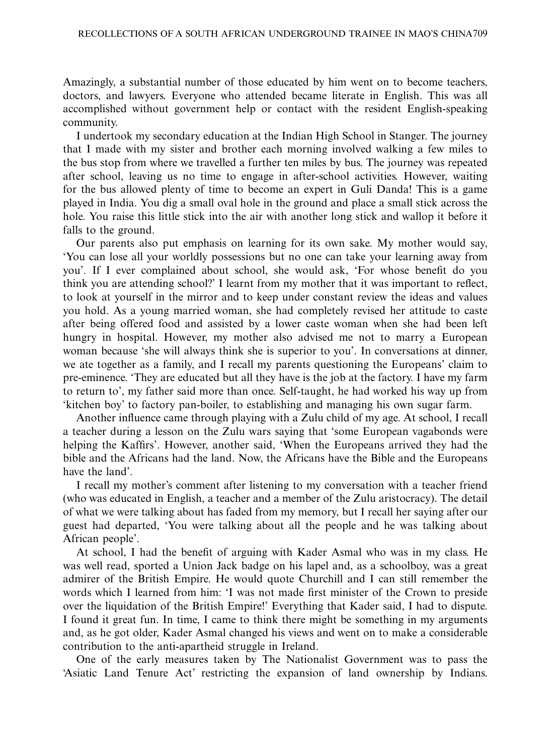Amazingly, a substantial number of those educated by him went on to become teachers, doctors, and lawyers. Everyone who attended became literate in English. This was all accomplished without government help or contact with the resident English-speaking community.

I undertook my secondary education at the Indian High School in Stanger. The journey that I made with my sister and brother each morning involved walking a few miles to the bus stop from where we travelled a further ten miles by bus. The journey was repeated after school, leaving us no time to engage in after-school activities. However, waiting for the bus allowed plenty of time to become an expert in Guli Danda! This is a game played in India. You dig a small oval hole in the ground and place a small stick across the hole. You raise this little stick into the air with another long stick and wallop it before it falls to the ground.

Our parents also put emphasis on learning for its own sake. My mother would say, 'You can lose all your worldly possessions but no one can take your learning away from you'. If I ever complained about school, she would ask, 'For whose benefit do you think you are attending school?' I learnt from my mother that it was important to reflect, to look at yourself in the mirror and to keep under constant review the ideas and values you hold. As a young married woman, she had completely revised her attitude to caste after being offered food and assisted by a lower caste woman when she had been left hungry in hospital. However, my mother also advised me not to marry a European woman because 'she will always think she is superior to you'. In conversations at dinner, we ate together as a family, and I recall my parents questioning the Europeans' claim to pre-eminence. 'They are educated but all they have is the job at the factory. I have my farm to return to', my father said more than once. Self-taught, he had worked his way up from 'kitchen boy' to factory pan-boiler, to establishing and managing his own sugar farm.

Another influence came through playing with a Zulu child of my age. At school, I recall a teacher during a lesson on the Zulu wars saying that 'some European vagabonds were helping the Kaffirs'. However, another said, 'When the Europeans arrived they had the bible and the Africans had the land. Now, the Africans have the Bible and the Europeans have the land'.

I recall my mother's comment after listening to my conversation with a teacher friend (who was educated in English, a teacher and a member of the Zulu aristocracy). The detail of what we were talking about has faded from my memory, but I recall her saying after our guest had departed, 'You were talking about all the people and he was talking about African people'.

At school, I had the benefit of arguing with Kader Asmal who was in my class. He was well read, sported a Union Jack badge on his lapel and, as a schoolboy, was a great admirer of the British Empire. He would quote Churchill and I can still remember the words which I learned from him: 'I was not made first minister of the Crown to preside over the liquidation of the British Empire!' Everything that Kader said, I had to dispute. I found it great fun. In time, I came to think there might be something in my arguments and, as he got older, Kader Asmal changed his views and went on to make a considerable contribution to the anti-apartheid struggle in Ireland.

One of the early measures taken by The Nationalist Government was to pass the 'Asiatic Land Tenure Act' restricting the expansion of land ownership by Indians.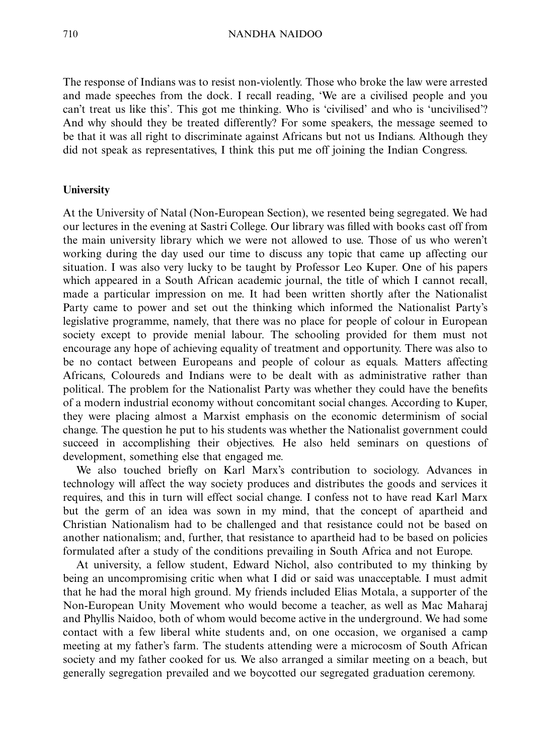The response of Indians was to resist non-violently. Those who broke the law were arrested and made speeches from the dock. I recall reading, 'We are a civilised people and you can't treat us like this'. This got me thinking. Who is 'civilised' and who is 'uncivilised'? And why should they be treated differently? For some speakers, the message seemed to be that it was all right to discriminate against Africans but not us Indians. Although they did not speak as representatives, I think this put me off joining the Indian Congress.

# **University**

At the University of Natal (Non-European Section), we resented being segregated. We had our lectures in the evening at Sastri College. Our library was filled with books cast off from the main university library which we were not allowed to use. Those of us who weren't working during the day used our time to discuss any topic that came up affecting our situation. I was also very lucky to be taught by Professor Leo Kuper. One of his papers which appeared in a South African academic journal, the title of which I cannot recall, made a particular impression on me. It had been written shortly after the Nationalist Party came to power and set out the thinking which informed the Nationalist Party's legislative programme, namely, that there was no place for people of colour in European society except to provide menial labour. The schooling provided for them must not encourage any hope of achieving equality of treatment and opportunity. There was also to be no contact between Europeans and people of colour as equals. Matters affecting Africans, Coloureds and Indians were to be dealt with as administrative rather than political. The problem for the Nationalist Party was whether they could have the benefits of a modern industrial economy without concomitant social changes. According to Kuper, they were placing almost a Marxist emphasis on the economic determinism of social change. The question he put to his students was whether the Nationalist government could succeed in accomplishing their objectives. He also held seminars on questions of development, something else that engaged me.

We also touched briefly on Karl Marx's contribution to sociology. Advances in technology will affect the way society produces and distributes the goods and services it requires, and this in turn will effect social change. I confess not to have read Karl Marx but the germ of an idea was sown in my mind, that the concept of apartheid and Christian Nationalism had to be challenged and that resistance could not be based on another nationalism; and, further, that resistance to apartheid had to be based on policies formulated after a study of the conditions prevailing in South Africa and not Europe.

At university, a fellow student, Edward Nichol, also contributed to my thinking by being an uncompromising critic when what I did or said was unacceptable. I must admit that he had the moral high ground. My friends included Elias Motala, a supporter of the Non-European Unity Movement who would become a teacher, as well as Mac Maharaj and Phyllis Naidoo, both of whom would become active in the underground. We had some contact with a few liberal white students and, on one occasion, we organised a camp meeting at my father's farm. The students attending were a microcosm of South African society and my father cooked for us. We also arranged a similar meeting on a beach, but generally segregation prevailed and we boycotted our segregated graduation ceremony.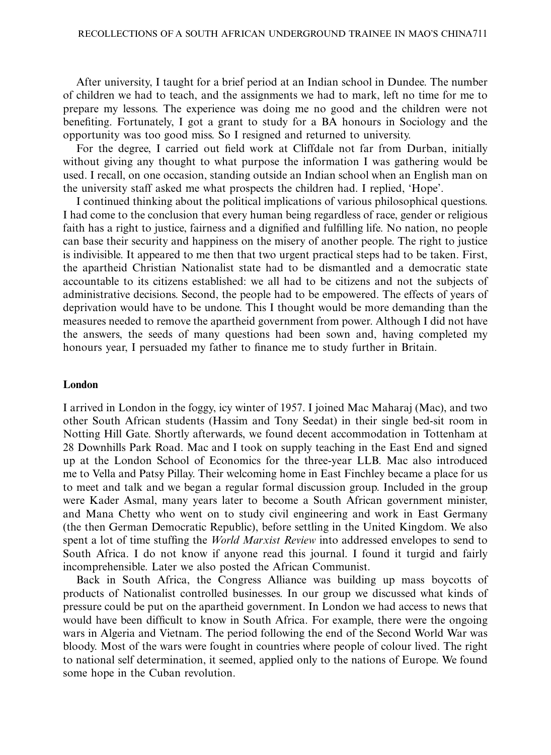After university, I taught for a brief period at an Indian school in Dundee. The number of children we had to teach, and the assignments we had to mark, left no time for me to prepare my lessons. The experience was doing me no good and the children were not benefiting. Fortunately, I got a grant to study for a BA honours in Sociology and the opportunity was too good miss. So I resigned and returned to university.

For the degree, I carried out field work at Cliffdale not far from Durban, initially without giving any thought to what purpose the information I was gathering would be used. I recall, on one occasion, standing outside an Indian school when an English man on the university staff asked me what prospects the children had. I replied, 'Hope'.

I continued thinking about the political implications of various philosophical questions. I had come to the conclusion that every human being regardless of race, gender or religious faith has a right to justice, fairness and a dignified and fulfilling life. No nation, no people can base their security and happiness on the misery of another people. The right to justice is indivisible. It appeared to me then that two urgent practical steps had to be taken. First, the apartheid Christian Nationalist state had to be dismantled and a democratic state accountable to its citizens established: we all had to be citizens and not the subjects of administrative decisions. Second, the people had to be empowered. The effects of years of deprivation would have to be undone. This I thought would be more demanding than the measures needed to remove the apartheid government from power. Although I did not have the answers, the seeds of many questions had been sown and, having completed my honours year, I persuaded my father to finance me to study further in Britain.

## London

I arrived in London in the foggy, icy winter of 1957. I joined Mac Maharaj (Mac), and two other South African students (Hassim and Tony Seedat) in their single bed-sit room in Notting Hill Gate. Shortly afterwards, we found decent accommodation in Tottenham at 28 Downhills Park Road. Mac and I took on supply teaching in the East End and signed up at the London School of Economics for the three-year LLB. Mac also introduced me to Vella and Patsy Pillay. Their welcoming home in East Finchley became a place for us to meet and talk and we began a regular formal discussion group. Included in the group were Kader Asmal, many years later to become a South African government minister, and Mana Chetty who went on to study civil engineering and work in East Germany (the then German Democratic Republic), before settling in the United Kingdom. We also spent a lot of time stuffing the *World Marxist Review* into addressed envelopes to send to South Africa. I do not know if anyone read this journal. I found it turgid and fairly incomprehensible. Later we also posted the African Communist.

Back in South Africa, the Congress Alliance was building up mass boycotts of products of Nationalist controlled businesses. In our group we discussed what kinds of pressure could be put on the apartheid government. In London we had access to news that would have been difficult to know in South Africa. For example, there were the ongoing wars in Algeria and Vietnam. The period following the end of the Second World War was bloody. Most of the wars were fought in countries where people of colour lived. The right to national self determination, it seemed, applied only to the nations of Europe. We found some hope in the Cuban revolution.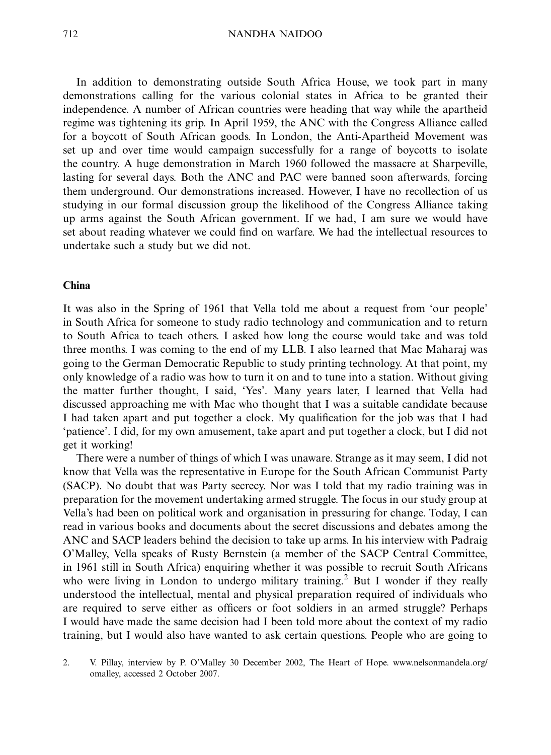In addition to demonstrating outside South Africa House, we took part in many demonstrations calling for the various colonial states in Africa to be granted their independence. A number of African countries were heading that way while the apartheid regime was tightening its grip. In April 1959, the ANC with the Congress Alliance called for a boycott of South African goods. In London, the Anti-Apartheid Movement was set up and over time would campaign successfully for a range of boycotts to isolate the country. A huge demonstration in March 1960 followed the massacre at Sharpeville, lasting for several days. Both the ANC and PAC were banned soon afterwards, forcing them underground. Our demonstrations increased. However, I have no recollection of us studying in our formal discussion group the likelihood of the Congress Alliance taking up arms against the South African government. If we had, I am sure we would have set about reading whatever we could find on warfare. We had the intellectual resources to undertake such a study but we did not.

## China

It was also in the Spring of 1961 that Vella told me about a request from 'our people' in South Africa for someone to study radio technology and communication and to return to South Africa to teach others. I asked how long the course would take and was told three months. I was coming to the end of my LLB. I also learned that Mac Maharaj was going to the German Democratic Republic to study printing technology. At that point, my only knowledge of a radio was how to turn it on and to tune into a station. Without giving the matter further thought, I said, 'Yes'. Many years later, I learned that Vella had discussed approaching me with Mac who thought that I was a suitable candidate because I had taken apart and put together a clock. My qualification for the job was that I had 'patience'. I did, for my own amusement, take apart and put together a clock, but I did not get it working!

There were a number of things of which I was unaware. Strange as it may seem, I did not know that Vella was the representative in Europe for the South African Communist Party (SACP). No doubt that was Party secrecy. Nor was I told that my radio training was in preparation for the movement undertaking armed struggle. The focus in our study group at Vella's had been on political work and organisation in pressuring for change. Today, I can read in various books and documents about the secret discussions and debates among the ANC and SACP leaders behind the decision to take up arms. In his interview with Padraig O'Malley, Vella speaks of Rusty Bernstein (a member of the SACP Central Committee, in 1961 still in South Africa) enquiring whether it was possible to recruit South Africans who were living in London to undergo military training.<sup>2</sup> But I wonder if they really understood the intellectual, mental and physical preparation required of individuals who are required to serve either as officers or foot soldiers in an armed struggle? Perhaps I would have made the same decision had I been told more about the context of my radio training, but I would also have wanted to ask certain questions. People who are going to

2. V. Pillay, interview by P. O'Malley 30 December 2002, The Heart of Hope. [www.nelsonmandela.org/](http://www.nelsonmandela.org/omalley) [omalley,](http://www.nelsonmandela.org/omalley) accessed 2 October 2007.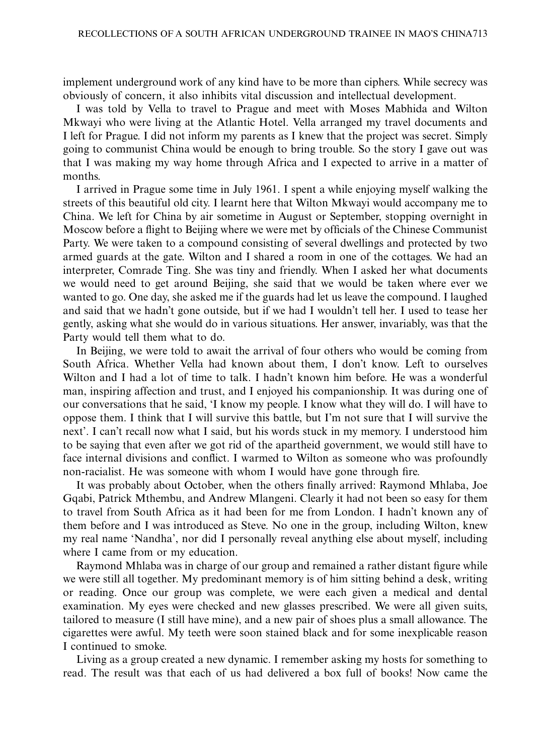implement underground work of any kind have to be more than ciphers. While secrecy was obviously of concern, it also inhibits vital discussion and intellectual development.

I was told by Vella to travel to Prague and meet with Moses Mabhida and Wilton Mkwayi who were living at the Atlantic Hotel. Vella arranged my travel documents and I left for Prague. I did not inform my parents as I knew that the project was secret. Simply going to communist China would be enough to bring trouble. So the story I gave out was that I was making my way home through Africa and I expected to arrive in a matter of months.

I arrived in Prague some time in July 1961. I spent a while enjoying myself walking the streets of this beautiful old city. I learnt here that Wilton Mkwayi would accompany me to China. We left for China by air sometime in August or September, stopping overnight in Moscow before a flight to Beijing where we were met by officials of the Chinese Communist Party. We were taken to a compound consisting of several dwellings and protected by two armed guards at the gate. Wilton and I shared a room in one of the cottages. We had an interpreter, Comrade Ting. She was tiny and friendly. When I asked her what documents we would need to get around Beijing, she said that we would be taken where ever we wanted to go. One day, she asked me if the guards had let us leave the compound. I laughed and said that we hadn't gone outside, but if we had I wouldn't tell her. I used to tease her gently, asking what she would do in various situations. Her answer, invariably, was that the Party would tell them what to do.

In Beijing, we were told to await the arrival of four others who would be coming from South Africa. Whether Vella had known about them, I don't know. Left to ourselves Wilton and I had a lot of time to talk. I hadn't known him before. He was a wonderful man, inspiring affection and trust, and I enjoyed his companionship. It was during one of our conversations that he said, 'I know my people. I know what they will do. I will have to oppose them. I think that I will survive this battle, but I'm not sure that I will survive the next'. I can't recall now what I said, but his words stuck in my memory. I understood him to be saying that even after we got rid of the apartheid government, we would still have to face internal divisions and conflict. I warmed to Wilton as someone who was profoundly non-racialist. He was someone with whom I would have gone through fire.

It was probably about October, when the others finally arrived: Raymond Mhlaba, Joe Gqabi, Patrick Mthembu, and Andrew Mlangeni. Clearly it had not been so easy for them to travel from South Africa as it had been for me from London. I hadn't known any of them before and I was introduced as Steve. No one in the group, including Wilton, knew my real name 'Nandha', nor did I personally reveal anything else about myself, including where I came from or my education.

Raymond Mhlaba was in charge of our group and remained a rather distant figure while we were still all together. My predominant memory is of him sitting behind a desk, writing or reading. Once our group was complete, we were each given a medical and dental examination. My eyes were checked and new glasses prescribed. We were all given suits, tailored to measure (I still have mine), and a new pair of shoes plus a small allowance. The cigarettes were awful. My teeth were soon stained black and for some inexplicable reason I continued to smoke.

Living as a group created a new dynamic. I remember asking my hosts for something to read. The result was that each of us had delivered a box full of books! Now came the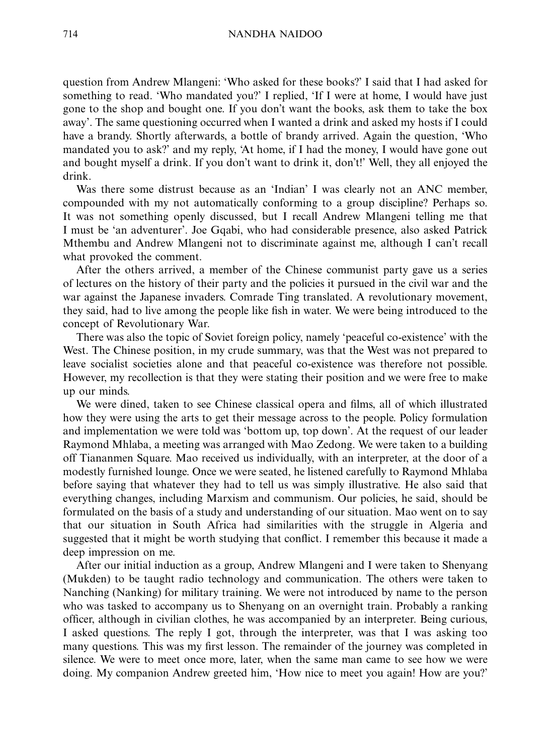question from Andrew Mlangeni: 'Who asked for these books?' I said that I had asked for something to read. 'Who mandated you?' I replied, 'If I were at home, I would have just gone to the shop and bought one. If you don't want the books, ask them to take the box away'. The same questioning occurred when I wanted a drink and asked my hosts if I could have a brandy. Shortly afterwards, a bottle of brandy arrived. Again the question, 'Who mandated you to ask?' and my reply, 'At home, if I had the money, I would have gone out and bought myself a drink. If you don't want to drink it, don't!' Well, they all enjoyed the drink.

Was there some distrust because as an 'Indian' I was clearly not an ANC member, compounded with my not automatically conforming to a group discipline? Perhaps so. It was not something openly discussed, but I recall Andrew Mlangeni telling me that I must be 'an adventurer'. Joe Gqabi, who had considerable presence, also asked Patrick Mthembu and Andrew Mlangeni not to discriminate against me, although I can't recall what provoked the comment.

After the others arrived, a member of the Chinese communist party gave us a series of lectures on the history of their party and the policies it pursued in the civil war and the war against the Japanese invaders. Comrade Ting translated. A revolutionary movement, they said, had to live among the people like fish in water. We were being introduced to the concept of Revolutionary War.

There was also the topic of Soviet foreign policy, namely 'peaceful co-existence' with the West. The Chinese position, in my crude summary, was that the West was not prepared to leave socialist societies alone and that peaceful co-existence was therefore not possible. However, my recollection is that they were stating their position and we were free to make up our minds.

We were dined, taken to see Chinese classical opera and films, all of which illustrated how they were using the arts to get their message across to the people. Policy formulation and implementation we were told was 'bottom up, top down'. At the request of our leader Raymond Mhlaba, a meeting was arranged with Mao Zedong. We were taken to a building off Tiananmen Square. Mao received us individually, with an interpreter, at the door of a modestly furnished lounge. Once we were seated, he listened carefully to Raymond Mhlaba before saying that whatever they had to tell us was simply illustrative. He also said that everything changes, including Marxism and communism. Our policies, he said, should be formulated on the basis of a study and understanding of our situation. Mao went on to say that our situation in South Africa had similarities with the struggle in Algeria and suggested that it might be worth studying that conflict. I remember this because it made a deep impression on me.

After our initial induction as a group, Andrew Mlangeni and I were taken to Shenyang (Mukden) to be taught radio technology and communication. The others were taken to Nanching (Nanking) for military training. We were not introduced by name to the person who was tasked to accompany us to Shenyang on an overnight train. Probably a ranking officer, although in civilian clothes, he was accompanied by an interpreter. Being curious, I asked questions. The reply I got, through the interpreter, was that I was asking too many questions. This was my first lesson. The remainder of the journey was completed in silence. We were to meet once more, later, when the same man came to see how we were doing. My companion Andrew greeted him, 'How nice to meet you again! How are you?'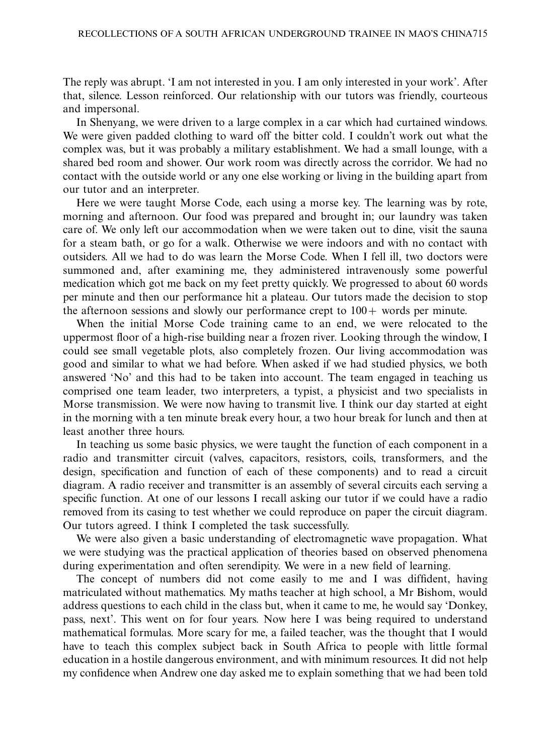The reply was abrupt. 'I am not interested in you. I am only interested in your work'. After that, silence. Lesson reinforced. Our relationship with our tutors was friendly, courteous and impersonal.

In Shenyang, we were driven to a large complex in a car which had curtained windows. We were given padded clothing to ward off the bitter cold. I couldn't work out what the complex was, but it was probably a military establishment. We had a small lounge, with a shared bed room and shower. Our work room was directly across the corridor. We had no contact with the outside world or any one else working or living in the building apart from our tutor and an interpreter.

Here we were taught Morse Code, each using a morse key. The learning was by rote, morning and afternoon. Our food was prepared and brought in; our laundry was taken care of. We only left our accommodation when we were taken out to dine, visit the sauna for a steam bath, or go for a walk. Otherwise we were indoors and with no contact with outsiders. All we had to do was learn the Morse Code. When I fell ill, two doctors were summoned and, after examining me, they administered intravenously some powerful medication which got me back on my feet pretty quickly. We progressed to about 60 words per minute and then our performance hit a plateau. Our tutors made the decision to stop the afternoon sessions and slowly our performance crept to  $100+$  words per minute.

When the initial Morse Code training came to an end, we were relocated to the uppermost floor of a high-rise building near a frozen river. Looking through the window, I could see small vegetable plots, also completely frozen. Our living accommodation was good and similar to what we had before. When asked if we had studied physics, we both answered 'No' and this had to be taken into account. The team engaged in teaching us comprised one team leader, two interpreters, a typist, a physicist and two specialists in Morse transmission. We were now having to transmit live. I think our day started at eight in the morning with a ten minute break every hour, a two hour break for lunch and then at least another three hours.

In teaching us some basic physics, we were taught the function of each component in a radio and transmitter circuit (valves, capacitors, resistors, coils, transformers, and the design, specification and function of each of these components) and to read a circuit diagram. A radio receiver and transmitter is an assembly of several circuits each serving a specific function. At one of our lessons I recall asking our tutor if we could have a radio removed from its casing to test whether we could reproduce on paper the circuit diagram. Our tutors agreed. I think I completed the task successfully.

We were also given a basic understanding of electromagnetic wave propagation. What we were studying was the practical application of theories based on observed phenomena during experimentation and often serendipity. We were in a new field of learning.

The concept of numbers did not come easily to me and I was diffident, having matriculated without mathematics. My maths teacher at high school, a Mr Bishom, would address questions to each child in the class but, when it came to me, he would say 'Donkey, pass, next'. This went on for four years. Now here I was being required to understand mathematical formulas. More scary for me, a failed teacher, was the thought that I would have to teach this complex subject back in South Africa to people with little formal education in a hostile dangerous environment, and with minimum resources. It did not help my confidence when Andrew one day asked me to explain something that we had been told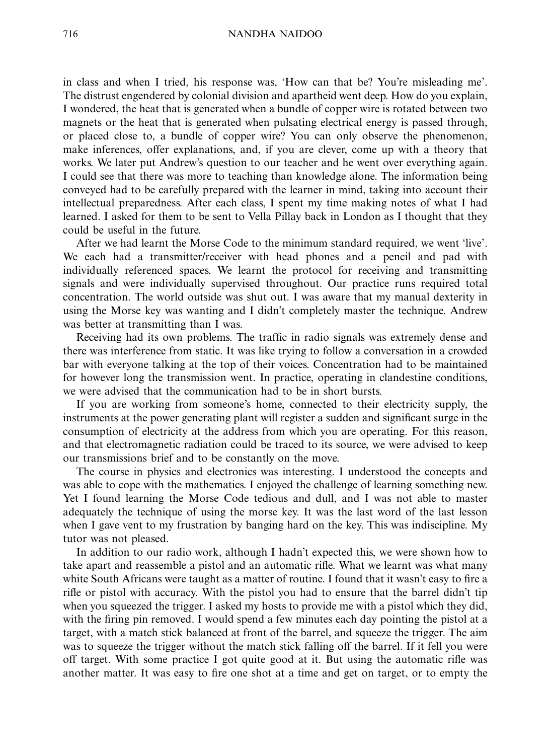in class and when I tried, his response was, 'How can that be? You're misleading me'. The distrust engendered by colonial division and apartheid went deep. How do you explain, I wondered, the heat that is generated when a bundle of copper wire is rotated between two magnets or the heat that is generated when pulsating electrical energy is passed through, or placed close to, a bundle of copper wire? You can only observe the phenomenon, make inferences, offer explanations, and, if you are clever, come up with a theory that works. We later put Andrew's question to our teacher and he went over everything again. I could see that there was more to teaching than knowledge alone. The information being conveyed had to be carefully prepared with the learner in mind, taking into account their intellectual preparedness. After each class, I spent my time making notes of what I had learned. I asked for them to be sent to Vella Pillay back in London as I thought that they could be useful in the future.

After we had learnt the Morse Code to the minimum standard required, we went 'live'. We each had a transmitter/receiver with head phones and a pencil and pad with individually referenced spaces. We learnt the protocol for receiving and transmitting signals and were individually supervised throughout. Our practice runs required total concentration. The world outside was shut out. I was aware that my manual dexterity in using the Morse key was wanting and I didn't completely master the technique. Andrew was better at transmitting than I was.

Receiving had its own problems. The traffic in radio signals was extremely dense and there was interference from static. It was like trying to follow a conversation in a crowded bar with everyone talking at the top of their voices. Concentration had to be maintained for however long the transmission went. In practice, operating in clandestine conditions, we were advised that the communication had to be in short bursts.

If you are working from someone's home, connected to their electricity supply, the instruments at the power generating plant will register a sudden and significant surge in the consumption of electricity at the address from which you are operating. For this reason, and that electromagnetic radiation could be traced to its source, we were advised to keep our transmissions brief and to be constantly on the move.

The course in physics and electronics was interesting. I understood the concepts and was able to cope with the mathematics. I enjoyed the challenge of learning something new. Yet I found learning the Morse Code tedious and dull, and I was not able to master adequately the technique of using the morse key. It was the last word of the last lesson when I gave vent to my frustration by banging hard on the key. This was indiscipline. My tutor was not pleased.

In addition to our radio work, although I hadn't expected this, we were shown how to take apart and reassemble a pistol and an automatic rifle. What we learnt was what many white South Africans were taught as a matter of routine. I found that it wasn't easy to fire a rifle or pistol with accuracy. With the pistol you had to ensure that the barrel didn't tip when you squeezed the trigger. I asked my hosts to provide me with a pistol which they did, with the firing pin removed. I would spend a few minutes each day pointing the pistol at a target, with a match stick balanced at front of the barrel, and squeeze the trigger. The aim was to squeeze the trigger without the match stick falling off the barrel. If it fell you were off target. With some practice I got quite good at it. But using the automatic rifle was another matter. It was easy to fire one shot at a time and get on target, or to empty the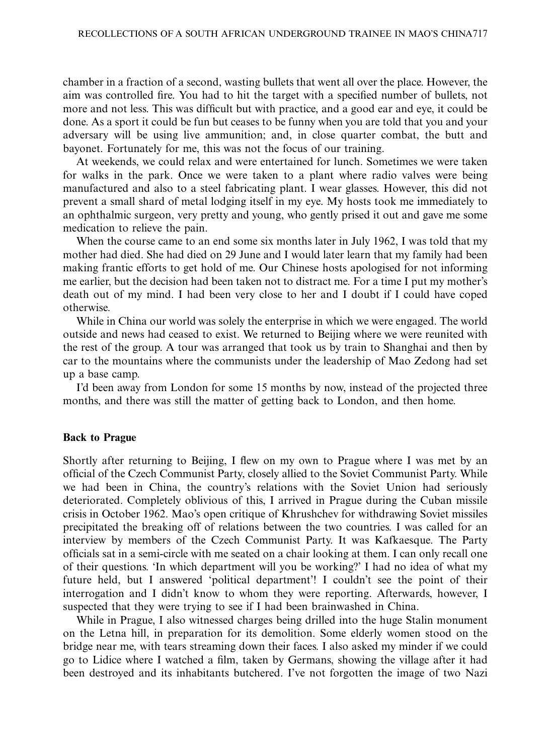chamber in a fraction of a second, wasting bullets that went all over the place. However, the aim was controlled fire. You had to hit the target with a specified number of bullets, not more and not less. This was difficult but with practice, and a good ear and eye, it could be done. As a sport it could be fun but ceases to be funny when you are told that you and your adversary will be using live ammunition; and, in close quarter combat, the butt and bayonet. Fortunately for me, this was not the focus of our training.

At weekends, we could relax and were entertained for lunch. Sometimes we were taken for walks in the park. Once we were taken to a plant where radio valves were being manufactured and also to a steel fabricating plant. I wear glasses. However, this did not prevent a small shard of metal lodging itself in my eye. My hosts took me immediately to an ophthalmic surgeon, very pretty and young, who gently prised it out and gave me some medication to relieve the pain.

When the course came to an end some six months later in July 1962, I was told that my mother had died. She had died on 29 June and I would later learn that my family had been making frantic efforts to get hold of me. Our Chinese hosts apologised for not informing me earlier, but the decision had been taken not to distract me. For a time I put my mother's death out of my mind. I had been very close to her and I doubt if I could have coped otherwise.

While in China our world was solely the enterprise in which we were engaged. The world outside and news had ceased to exist. We returned to Beijing where we were reunited with the rest of the group. A tour was arranged that took us by train to Shanghai and then by car to the mountains where the communists under the leadership of Mao Zedong had set up a base camp.

I'd been away from London for some 15 months by now, instead of the projected three months, and there was still the matter of getting back to London, and then home.

#### Back to Prague

Shortly after returning to Beijing, I flew on my own to Prague where I was met by an official of the Czech Communist Party, closely allied to the Soviet Communist Party. While we had been in China, the country's relations with the Soviet Union had seriously deteriorated. Completely oblivious of this, I arrived in Prague during the Cuban missile crisis in October 1962. Mao's open critique of Khrushchev for withdrawing Soviet missiles precipitated the breaking off of relations between the two countries. I was called for an interview by members of the Czech Communist Party. It was Kafkaesque. The Party officials sat in a semi-circle with me seated on a chair looking at them. I can only recall one of their questions. 'In which department will you be working?' I had no idea of what my future held, but I answered 'political department'! I couldn't see the point of their interrogation and I didn't know to whom they were reporting. Afterwards, however, I suspected that they were trying to see if I had been brainwashed in China.

While in Prague, I also witnessed charges being drilled into the huge Stalin monument on the Letna hill, in preparation for its demolition. Some elderly women stood on the bridge near me, with tears streaming down their faces. I also asked my minder if we could go to Lidice where I watched a film, taken by Germans, showing the village after it had been destroyed and its inhabitants butchered. I've not forgotten the image of two Nazi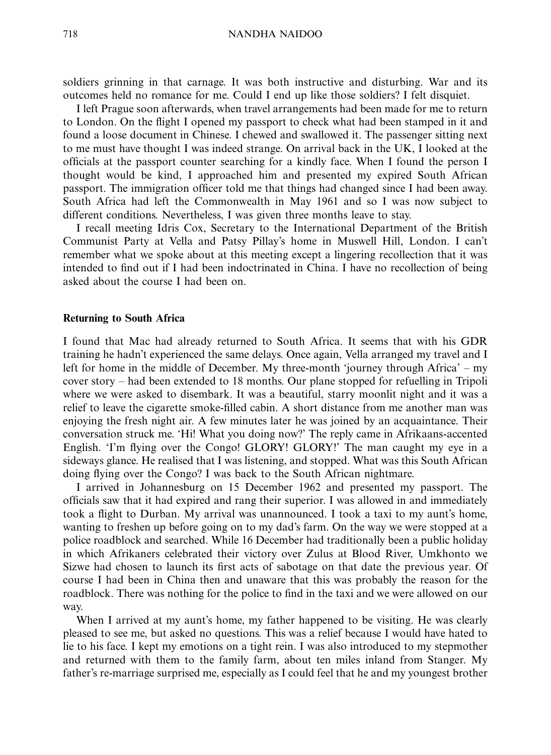soldiers grinning in that carnage. It was both instructive and disturbing. War and its outcomes held no romance for me. Could I end up like those soldiers? I felt disquiet.

I left Prague soon afterwards, when travel arrangements had been made for me to return to London. On the flight I opened my passport to check what had been stamped in it and found a loose document in Chinese. I chewed and swallowed it. The passenger sitting next to me must have thought I was indeed strange. On arrival back in the UK, I looked at the officials at the passport counter searching for a kindly face. When I found the person I thought would be kind, I approached him and presented my expired South African passport. The immigration officer told me that things had changed since I had been away. South Africa had left the Commonwealth in May 1961 and so I was now subject to different conditions. Nevertheless, I was given three months leave to stay.

I recall meeting Idris Cox, Secretary to the International Department of the British Communist Party at Vella and Patsy Pillay's home in Muswell Hill, London. I can't remember what we spoke about at this meeting except a lingering recollection that it was intended to find out if I had been indoctrinated in China. I have no recollection of being asked about the course I had been on.

#### Returning to South Africa

I found that Mac had already returned to South Africa. It seems that with his GDR training he hadn't experienced the same delays. Once again, Vella arranged my travel and I left for home in the middle of December. My three-month 'journey through Africa'  $-$  my cover story had been extended to 18 months. Our plane stopped for refuelling in Tripoli where we were asked to disembark. It was a beautiful, starry moonlit night and it was a relief to leave the cigarette smoke-filled cabin. A short distance from me another man was enjoying the fresh night air. A few minutes later he was joined by an acquaintance. Their conversation struck me. 'Hi! What you doing now?' The reply came in Afrikaans-accented English. 'I'm flying over the Congo! GLORY! GLORY!' The man caught my eye in a sideways glance. He realised that I was listening, and stopped. What was this South African doing flying over the Congo? I was back to the South African nightmare.

I arrived in Johannesburg on 15 December 1962 and presented my passport. The officials saw that it had expired and rang their superior. I was allowed in and immediately took a flight to Durban. My arrival was unannounced. I took a taxi to my aunt's home, wanting to freshen up before going on to my dad's farm. On the way we were stopped at a police roadblock and searched. While 16 December had traditionally been a public holiday in which Afrikaners celebrated their victory over Zulus at Blood River, Umkhonto we Sizwe had chosen to launch its first acts of sabotage on that date the previous year. Of course I had been in China then and unaware that this was probably the reason for the roadblock. There was nothing for the police to find in the taxi and we were allowed on our way.

When I arrived at my aunt's home, my father happened to be visiting. He was clearly pleased to see me, but asked no questions. This was a relief because I would have hated to lie to his face. I kept my emotions on a tight rein. I was also introduced to my stepmother and returned with them to the family farm, about ten miles inland from Stanger. My father's re-marriage surprised me, especially as I could feel that he and my youngest brother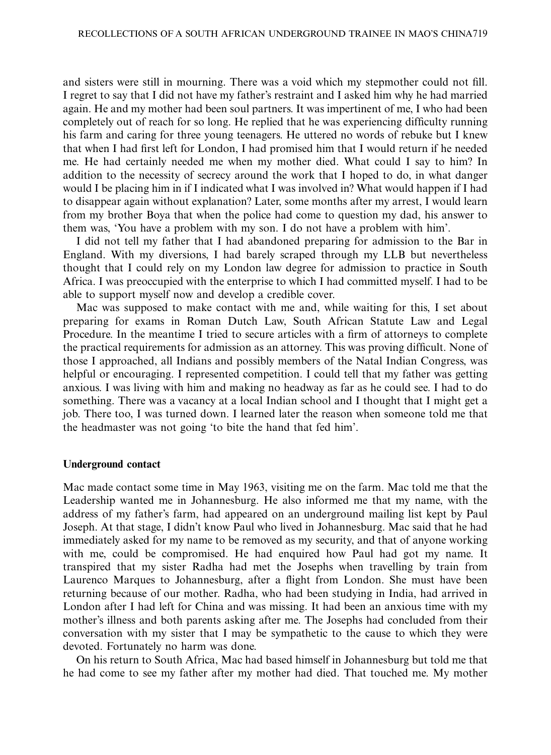and sisters were still in mourning. There was a void which my stepmother could not fill. I regret to say that I did not have my father's restraint and I asked him why he had married again. He and my mother had been soul partners. It was impertinent of me, I who had been completely out of reach for so long. He replied that he was experiencing difficulty running his farm and caring for three young teenagers. He uttered no words of rebuke but I knew that when I had first left for London, I had promised him that I would return if he needed me. He had certainly needed me when my mother died. What could I say to him? In addition to the necessity of secrecy around the work that I hoped to do, in what danger would I be placing him in if I indicated what I was involved in? What would happen if I had to disappear again without explanation? Later, some months after my arrest, I would learn from my brother Boya that when the police had come to question my dad, his answer to them was, 'You have a problem with my son. I do not have a problem with him'.

I did not tell my father that I had abandoned preparing for admission to the Bar in England. With my diversions, I had barely scraped through my LLB but nevertheless thought that I could rely on my London law degree for admission to practice in South Africa. I was preoccupied with the enterprise to which I had committed myself. I had to be able to support myself now and develop a credible cover.

Mac was supposed to make contact with me and, while waiting for this, I set about preparing for exams in Roman Dutch Law, South African Statute Law and Legal Procedure. In the meantime I tried to secure articles with a firm of attorneys to complete the practical requirements for admission as an attorney. This was proving difficult. None of those I approached, all Indians and possibly members of the Natal Indian Congress, was helpful or encouraging. I represented competition. I could tell that my father was getting anxious. I was living with him and making no headway as far as he could see. I had to do something. There was a vacancy at a local Indian school and I thought that I might get a job. There too, I was turned down. I learned later the reason when someone told me that the headmaster was not going 'to bite the hand that fed him'.

# Underground contact

Mac made contact some time in May 1963, visiting me on the farm. Mac told me that the Leadership wanted me in Johannesburg. He also informed me that my name, with the address of my father's farm, had appeared on an underground mailing list kept by Paul Joseph. At that stage, I didn't know Paul who lived in Johannesburg. Mac said that he had immediately asked for my name to be removed as my security, and that of anyone working with me, could be compromised. He had enquired how Paul had got my name. It transpired that my sister Radha had met the Josephs when travelling by train from Laurenco Marques to Johannesburg, after a flight from London. She must have been returning because of our mother. Radha, who had been studying in India, had arrived in London after I had left for China and was missing. It had been an anxious time with my mother's illness and both parents asking after me. The Josephs had concluded from their conversation with my sister that I may be sympathetic to the cause to which they were devoted. Fortunately no harm was done.

On his return to South Africa, Mac had based himself in Johannesburg but told me that he had come to see my father after my mother had died. That touched me. My mother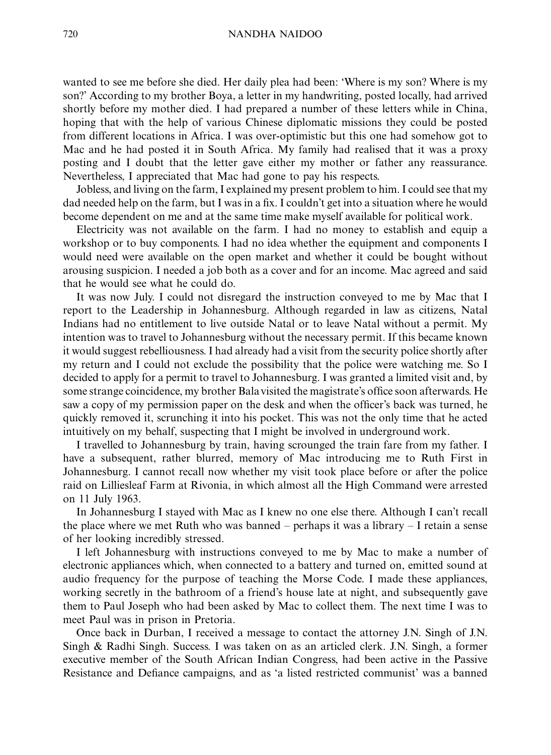wanted to see me before she died. Her daily plea had been: 'Where is my son? Where is my son?' According to my brother Boya, a letter in my handwriting, posted locally, had arrived shortly before my mother died. I had prepared a number of these letters while in China, hoping that with the help of various Chinese diplomatic missions they could be posted from different locations in Africa. I was over-optimistic but this one had somehow got to Mac and he had posted it in South Africa. My family had realised that it was a proxy posting and I doubt that the letter gave either my mother or father any reassurance. Nevertheless, I appreciated that Mac had gone to pay his respects.

Jobless, and living on the farm, I explained my present problem to him. I could see that my dad needed help on the farm, but I was in a fix. I couldn't get into a situation where he would become dependent on me and at the same time make myself available for political work.

Electricity was not available on the farm. I had no money to establish and equip a workshop or to buy components. I had no idea whether the equipment and components I would need were available on the open market and whether it could be bought without arousing suspicion. I needed a job both as a cover and for an income. Mac agreed and said that he would see what he could do.

It was now July. I could not disregard the instruction conveyed to me by Mac that I report to the Leadership in Johannesburg. Although regarded in law as citizens, Natal Indians had no entitlement to live outside Natal or to leave Natal without a permit. My intention was to travel to Johannesburg without the necessary permit. If this became known it would suggest rebelliousness. I had already had a visit from the security police shortly after my return and I could not exclude the possibility that the police were watching me. So I decided to apply for a permit to travel to Johannesburg. I was granted a limited visit and, by some strange coincidence, my brother Balavisited the magistrate's office soon afterwards. He saw a copy of my permission paper on the desk and when the officer's back was turned, he quickly removed it, scrunching it into his pocket. This was not the only time that he acted intuitively on my behalf, suspecting that I might be involved in underground work.

I travelled to Johannesburg by train, having scrounged the train fare from my father. I have a subsequent, rather blurred, memory of Mac introducing me to Ruth First in Johannesburg. I cannot recall now whether my visit took place before or after the police raid on Lilliesleaf Farm at Rivonia, in which almost all the High Command were arrested on 11 July 1963.

In Johannesburg I stayed with Mac as I knew no one else there. Although I can't recall the place where we met Ruth who was banned  $-$  perhaps it was a library  $-$  I retain a sense of her looking incredibly stressed.

I left Johannesburg with instructions conveyed to me by Mac to make a number of electronic appliances which, when connected to a battery and turned on, emitted sound at audio frequency for the purpose of teaching the Morse Code. I made these appliances, working secretly in the bathroom of a friend's house late at night, and subsequently gave them to Paul Joseph who had been asked by Mac to collect them. The next time I was to meet Paul was in prison in Pretoria.

Once back in Durban, I received a message to contact the attorney J.N. Singh of J.N. Singh & Radhi Singh. Success. I was taken on as an articled clerk. J.N. Singh, a former executive member of the South African Indian Congress, had been active in the Passive Resistance and Defiance campaigns, and as 'a listed restricted communist' was a banned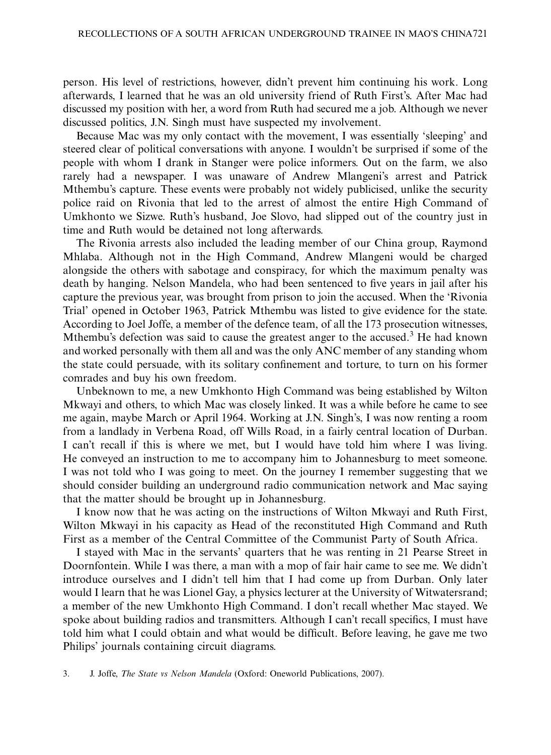person. His level of restrictions, however, didn't prevent him continuing his work. Long afterwards, I learned that he was an old university friend of Ruth First's. After Mac had discussed my position with her, a word from Ruth had secured me a job. Although we never discussed politics, J.N. Singh must have suspected my involvement.

Because Mac was my only contact with the movement, I was essentially 'sleeping' and steered clear of political conversations with anyone. I wouldn't be surprised if some of the people with whom I drank in Stanger were police informers. Out on the farm, we also rarely had a newspaper. I was unaware of Andrew Mlangeni's arrest and Patrick Mthembu's capture. These events were probably not widely publicised, unlike the security police raid on Rivonia that led to the arrest of almost the entire High Command of Umkhonto we Sizwe. Ruth's husband, Joe Slovo, had slipped out of the country just in time and Ruth would be detained not long afterwards.

The Rivonia arrests also included the leading member of our China group, Raymond Mhlaba. Although not in the High Command, Andrew Mlangeni would be charged alongside the others with sabotage and conspiracy, for which the maximum penalty was death by hanging. Nelson Mandela, who had been sentenced to five years in jail after his capture the previous year, was brought from prison to join the accused. When the 'Rivonia Trial' opened in October 1963, Patrick Mthembu was listed to give evidence for the state. According to Joel Joffe, a member of the defence team, of all the 173 prosecution witnesses, Mthembu's defection was said to cause the greatest anger to the accused.<sup>3</sup> He had known and worked personally with them all and was the only ANC member of any standing whom the state could persuade, with its solitary confinement and torture, to turn on his former comrades and buy his own freedom.

Unbeknown to me, a new Umkhonto High Command was being established by Wilton Mkwayi and others, to which Mac was closely linked. It was a while before he came to see me again, maybe March or April 1964. Working at J.N. Singh's, I was now renting a room from a landlady in Verbena Road, off Wills Road, in a fairly central location of Durban. I can't recall if this is where we met, but I would have told him where I was living. He conveyed an instruction to me to accompany him to Johannesburg to meet someone. I was not told who I was going to meet. On the journey I remember suggesting that we should consider building an underground radio communication network and Mac saying that the matter should be brought up in Johannesburg.

I know now that he was acting on the instructions of Wilton Mkwayi and Ruth First, Wilton Mkwayi in his capacity as Head of the reconstituted High Command and Ruth First as a member of the Central Committee of the Communist Party of South Africa.

I stayed with Mac in the servants' quarters that he was renting in 21 Pearse Street in Doornfontein. While I was there, a man with a mop of fair hair came to see me. We didn't introduce ourselves and I didn't tell him that I had come up from Durban. Only later would I learn that he was Lionel Gay, a physics lecturer at the University of Witwatersrand; a member of the new Umkhonto High Command. I don't recall whether Mac stayed. We spoke about building radios and transmitters. Although I can't recall specifics, I must have told him what I could obtain and what would be difficult. Before leaving, he gave me two Philips' journals containing circuit diagrams.

3. J. Joffe, The State vs Nelson Mandela (Oxford: Oneworld Publications, 2007).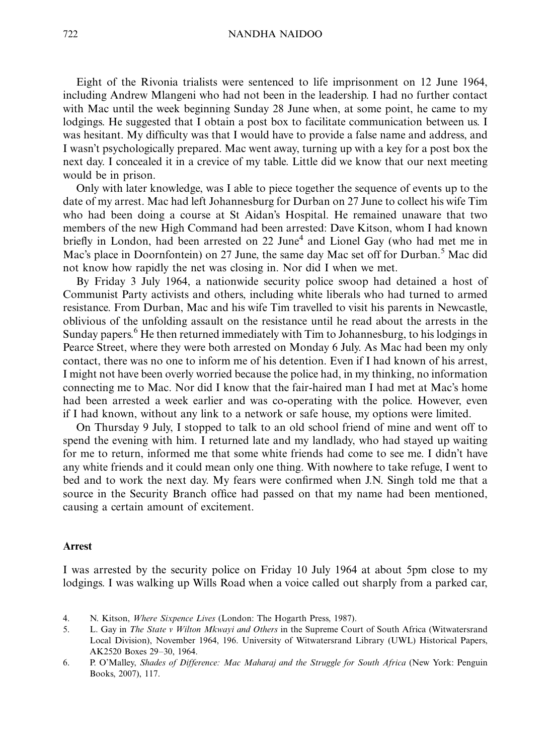Eight of the Rivonia trialists were sentenced to life imprisonment on 12 June 1964, including Andrew Mlangeni who had not been in the leadership. I had no further contact with Mac until the week beginning Sunday 28 June when, at some point, he came to my lodgings. He suggested that I obtain a post box to facilitate communication between us. I was hesitant. My difficulty was that I would have to provide a false name and address, and I wasn't psychologically prepared. Mac went away, turning up with a key for a post box the next day. I concealed it in a crevice of my table. Little did we know that our next meeting would be in prison.

Only with later knowledge, was I able to piece together the sequence of events up to the date of my arrest. Mac had left Johannesburg for Durban on 27 June to collect his wife Tim who had been doing a course at St Aidan's Hospital. He remained unaware that two members of the new High Command had been arrested: Dave Kitson, whom I had known briefly in London, had been arrested on  $22$  June<sup>4</sup> and Lionel Gay (who had met me in Mac's place in Doornfontein) on 27 June, the same day Mac set off for Durban.<sup>5</sup> Mac did not know how rapidly the net was closing in. Nor did I when we met.

By Friday 3 July 1964, a nationwide security police swoop had detained a host of Communist Party activists and others, including white liberals who had turned to armed resistance. From Durban, Mac and his wife Tim travelled to visit his parents in Newcastle, oblivious of the unfolding assault on the resistance until he read about the arrests in the Sunday papers.<sup>6</sup> He then returned immediately with Tim to Johannesburg, to his lodgings in Pearce Street, where they were both arrested on Monday 6 July. As Mac had been my only contact, there was no one to inform me of his detention. Even if I had known of his arrest, I might not have been overly worried because the police had, in my thinking, no information connecting me to Mac. Nor did I know that the fair-haired man I had met at Mac's home had been arrested a week earlier and was co-operating with the police. However, even if I had known, without any link to a network or safe house, my options were limited.

On Thursday 9 July, I stopped to talk to an old school friend of mine and went off to spend the evening with him. I returned late and my landlady, who had stayed up waiting for me to return, informed me that some white friends had come to see me. I didn't have any white friends and it could mean only one thing. With nowhere to take refuge, I went to bed and to work the next day. My fears were confirmed when J.N. Singh told me that a source in the Security Branch office had passed on that my name had been mentioned, causing a certain amount of excitement.

#### Arrest

I was arrested by the security police on Friday 10 July 1964 at about 5pm close to my lodgings. I was walking up Wills Road when a voice called out sharply from a parked car,

<sup>4.</sup> N. Kitson, *Where Sixpence Lives* (London: The Hogarth Press, 1987).

<sup>5.</sup> L. Gay in The State v Wilton Mkwayi and Others in the Supreme Court of South Africa (Witwatersrand Local Division), November 1964, 196. University of Witwatersrand Library (UWL) Historical Papers, AK2520 Boxes 29-30, 1964.

<sup>6.</sup> P. O'Malley, Shades of Difference: Mac Maharaj and the Struggle for South Africa (New York: Penguin Books, 2007), 117.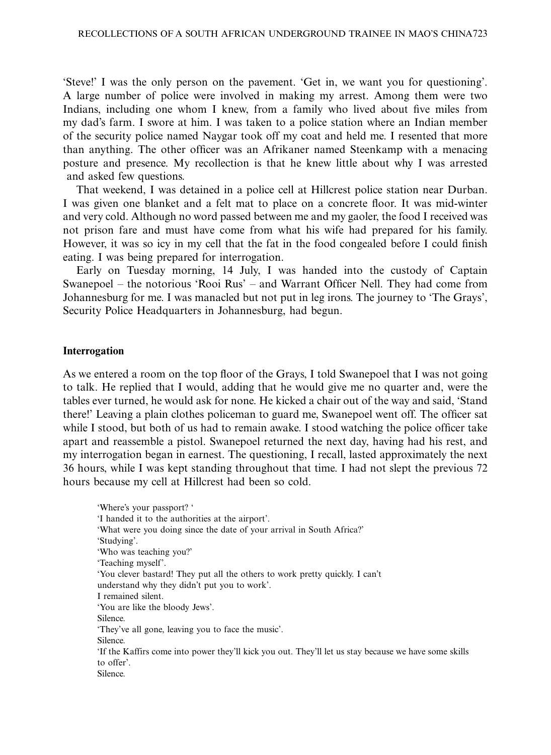'Steve!' I was the only person on the pavement. 'Get in, we want you for questioning'. A large number of police were involved in making my arrest. Among them were two Indians, including one whom I knew, from a family who lived about five miles from my dad's farm. I swore at him. I was taken to a police station where an Indian member of the security police named Naygar took off my coat and held me. I resented that more than anything. The other officer was an Afrikaner named Steenkamp with a menacing posture and presence. My recollection is that he knew little about why I was arrested and asked few questions.

That weekend, I was detained in a police cell at Hillcrest police station near Durban. I was given one blanket and a felt mat to place on a concrete floor. It was mid-winter and very cold. Although no word passed between me and my gaoler, the food I received was not prison fare and must have come from what his wife had prepared for his family. However, it was so icy in my cell that the fat in the food congealed before I could finish eating. I was being prepared for interrogation.

Early on Tuesday morning, 14 July, I was handed into the custody of Captain Swanepoel  $-$  the notorious 'Rooi Rus'  $-$  and Warrant Officer Nell. They had come from Johannesburg for me. I was manacled but not put in leg irons. The journey to 'The Grays', Security Police Headquarters in Johannesburg, had begun.

# Interrogation

As we entered a room on the top floor of the Grays, I told Swanepoel that I was not going to talk. He replied that I would, adding that he would give me no quarter and, were the tables ever turned, he would ask for none. He kicked a chair out of the way and said, 'Stand there!' Leaving a plain clothes policeman to guard me, Swanepoel went off. The officer sat while I stood, but both of us had to remain awake. I stood watching the police officer take apart and reassemble a pistol. Swanepoel returned the next day, having had his rest, and my interrogation began in earnest. The questioning, I recall, lasted approximately the next 36 hours, while I was kept standing throughout that time. I had not slept the previous 72 hours because my cell at Hillcrest had been so cold.

'Where's your passport? ' 'I handed it to the authorities at the airport'. 'What were you doing since the date of your arrival in South Africa?' 'Studying'. 'Who was teaching you?' 'Teaching myself'. 'You clever bastard! They put all the others to work pretty quickly. I can't understand why they didn't put you to work'. I remained silent. 'You are like the bloody Jews'. Silence. 'They've all gone, leaving you to face the music'. Silence. 'If the Kaffirs come into power they'll kick you out. They'll let us stay because we have some skills to offer'. Silence.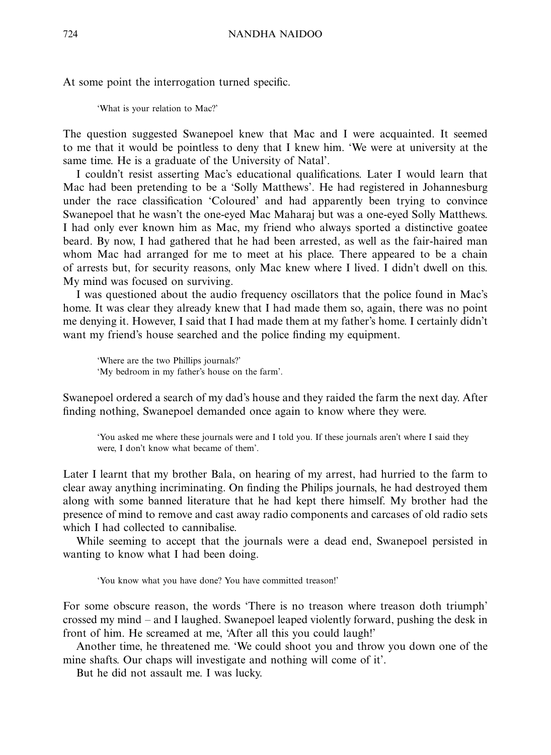At some point the interrogation turned specific.

'What is your relation to Mac?'

The question suggested Swanepoel knew that Mac and I were acquainted. It seemed to me that it would be pointless to deny that I knew him. 'We were at university at the same time. He is a graduate of the University of Natal'.

I couldn't resist asserting Mac's educational qualifications. Later I would learn that Mac had been pretending to be a 'Solly Matthews'. He had registered in Johannesburg under the race classification 'Coloured' and had apparently been trying to convince Swanepoel that he wasn't the one-eyed Mac Maharaj but was a one-eyed Solly Matthews. I had only ever known him as Mac, my friend who always sported a distinctive goatee beard. By now, I had gathered that he had been arrested, as well as the fair-haired man whom Mac had arranged for me to meet at his place. There appeared to be a chain of arrests but, for security reasons, only Mac knew where I lived. I didn't dwell on this. My mind was focused on surviving.

I was questioned about the audio frequency oscillators that the police found in Mac's home. It was clear they already knew that I had made them so, again, there was no point me denying it. However, I said that I had made them at my father's home. I certainly didn't want my friend's house searched and the police finding my equipment.

'Where are the two Phillips journals?' 'My bedroom in my father's house on the farm'.

Swanepoel ordered a search of my dad's house and they raided the farm the next day. After finding nothing, Swanepoel demanded once again to know where they were.

'You asked me where these journals were and I told you. If these journals aren't where I said they were, I don't know what became of them'.

Later I learnt that my brother Bala, on hearing of my arrest, had hurried to the farm to clear away anything incriminating. On finding the Philips journals, he had destroyed them along with some banned literature that he had kept there himself. My brother had the presence of mind to remove and cast away radio components and carcases of old radio sets which I had collected to cannibalise.

While seeming to accept that the journals were a dead end, Swanepoel persisted in wanting to know what I had been doing.

'You know what you have done? You have committed treason!'

For some obscure reason, the words 'There is no treason where treason doth triumph' crossed my mind  $-$  and I laughed. Swanepoel leaped violently forward, pushing the desk in front of him. He screamed at me, 'After all this you could laugh!'

Another time, he threatened me. 'We could shoot you and throw you down one of the mine shafts. Our chaps will investigate and nothing will come of it'.

But he did not assault me. I was lucky.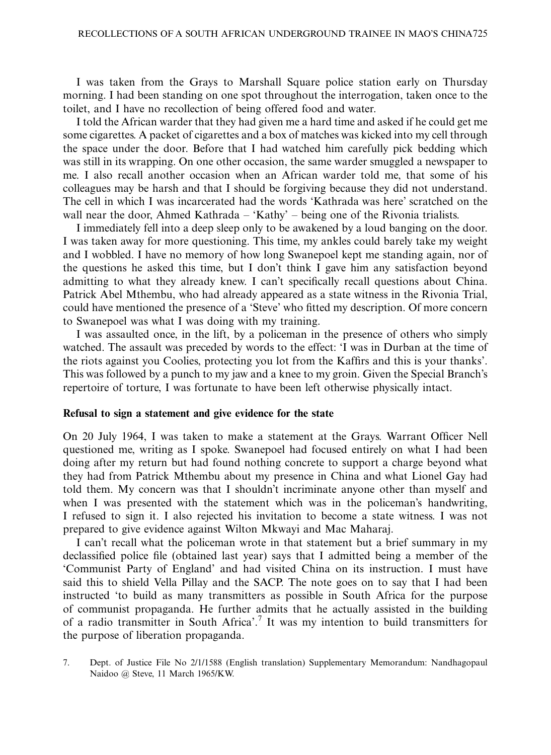I was taken from the Grays to Marshall Square police station early on Thursday morning. I had been standing on one spot throughout the interrogation, taken once to the toilet, and I have no recollection of being offered food and water.

I told the African warder that they had given me a hard time and asked if he could get me some cigarettes. A packet of cigarettes and a box of matches was kicked into my cell through the space under the door. Before that I had watched him carefully pick bedding which was still in its wrapping. On one other occasion, the same warder smuggled a newspaper to me. I also recall another occasion when an African warder told me, that some of his colleagues may be harsh and that I should be forgiving because they did not understand. The cell in which I was incarcerated had the words 'Kathrada was here' scratched on the wall near the door, Ahmed Kathrada – 'Kathy' – being one of the Rivonia trialists.

I immediately fell into a deep sleep only to be awakened by a loud banging on the door. I was taken away for more questioning. This time, my ankles could barely take my weight and I wobbled. I have no memory of how long Swanepoel kept me standing again, nor of the questions he asked this time, but I don't think I gave him any satisfaction beyond admitting to what they already knew. I can't specifically recall questions about China. Patrick Abel Mthembu, who had already appeared as a state witness in the Rivonia Trial, could have mentioned the presence of a 'Steve' who fitted my description. Of more concern to Swanepoel was what I was doing with my training.

I was assaulted once, in the lift, by a policeman in the presence of others who simply watched. The assault was preceded by words to the effect: 'I was in Durban at the time of the riots against you Coolies, protecting you lot from the Kaffirs and this is your thanks'. This was followed by a punch to my jaw and a knee to my groin. Given the Special Branch's repertoire of torture, I was fortunate to have been left otherwise physically intact.

## Refusal to sign a statement and give evidence for the state

On 20 July 1964, I was taken to make a statement at the Grays. Warrant Officer Nell questioned me, writing as I spoke. Swanepoel had focused entirely on what I had been doing after my return but had found nothing concrete to support a charge beyond what they had from Patrick Mthembu about my presence in China and what Lionel Gay had told them. My concern was that I shouldn't incriminate anyone other than myself and when I was presented with the statement which was in the policeman's handwriting, I refused to sign it. I also rejected his invitation to become a state witness. I was not prepared to give evidence against Wilton Mkwayi and Mac Maharaj.

I can't recall what the policeman wrote in that statement but a brief summary in my declassified police file (obtained last year) says that I admitted being a member of the 'Communist Party of England' and had visited China on its instruction. I must have said this to shield Vella Pillay and the SACP. The note goes on to say that I had been instructed 'to build as many transmitters as possible in South Africa for the purpose of communist propaganda. He further admits that he actually assisted in the building of a radio transmitter in South Africa'.<sup>7</sup> It was my intention to build transmitters for the purpose of liberation propaganda.

7. Dept. of Justice File No 2/1/1588 (English translation) Supplementary Memorandum: Nandhagopaul Naidoo @ Steve, 11 March 1965/KW.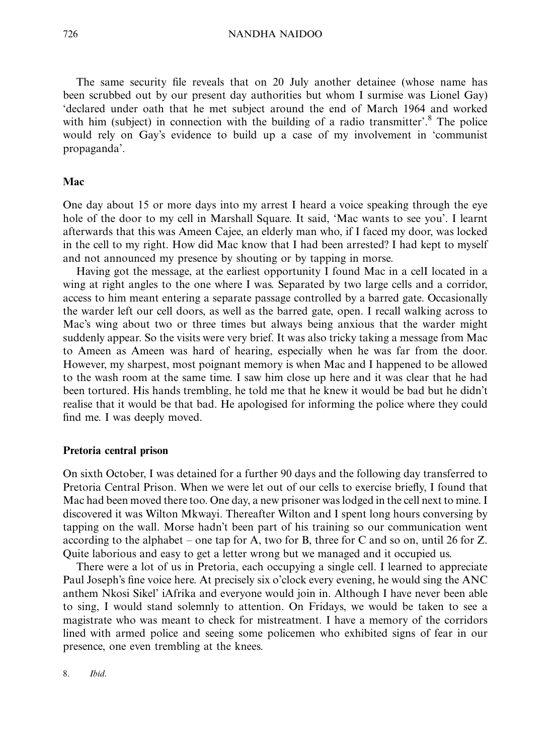The same security file reveals that on 20 July another detainee (whose name has been scrubbed out by our present day authorities but whom I surmise was Lionel Gay) 'declared under oath that he met subject around the end of March 1964 and worked with him (subject) in connection with the building of a radio transmitter'.<sup>8</sup> The police would rely on Gay's evidence to build up a case of my involvement in 'communist propaganda'.

# Mac

One day about 15 or more days into my arrest I heard a voice speaking through the eye hole of the door to my cell in Marshall Square. It said, 'Mac wants to see you'. I learnt afterwards that this was Ameen Cajee, an elderly man who, if I faced my door, was locked in the cell to my right. How did Mac know that I had been arrested? I had kept to myself and not announced my presence by shouting or by tapping in morse.

Having got the message, at the earliest opportunity I found Mac in a celI located in a wing at right angles to the one where I was. Separated by two large cells and a corridor, access to him meant entering a separate passage controlled by a barred gate. Occasionally the warder left our cell doors, as well as the barred gate, open. I recall walking across to Mac's wing about two or three times but always being anxious that the warder might suddenly appear. So the visits were very brief. It was also tricky taking a message from Mac to Ameen as Ameen was hard of hearing, especially when he was far from the door. However, my sharpest, most poignant memory is when Mac and I happened to be allowed to the wash room at the same time. I saw him close up here and it was clear that he had been tortured. His hands trembling, he told me that he knew it would be bad but he didn't realise that it would be that bad. He apologised for informing the police where they could find me. I was deeply moved.

#### Pretoria central prison

On sixth October, I was detained for a further 90 days and the following day transferred to Pretoria Central Prison. When we were let out of our cells to exercise briefly, I found that Mac had been moved there too. One day, a new prisoner was lodged in the cell next to mine. I discovered it was Wilton Mkwayi. Thereafter Wilton and I spent long hours conversing by tapping on the wall. Morse hadn't been part of his training so our communication went according to the alphabet  $-$  one tap for A, two for B, three for C and so on, until 26 for Z. Quite laborious and easy to get a letter wrong but we managed and it occupied us.

There were a lot of us in Pretoria, each occupying a single cell. I learned to appreciate Paul Joseph's fine voice here. At precisely six o'clock every evening, he would sing the ANC anthem Nkosi Sikel' iAfrika and everyone would join in. Although I have never been able to sing, I would stand solemnly to attention. On Fridays, we would be taken to see a magistrate who was meant to check for mistreatment. I have a memory of the corridors lined with armed police and seeing some policemen who exhibited signs of fear in our presence, one even trembling at the knees.

8. Ibid.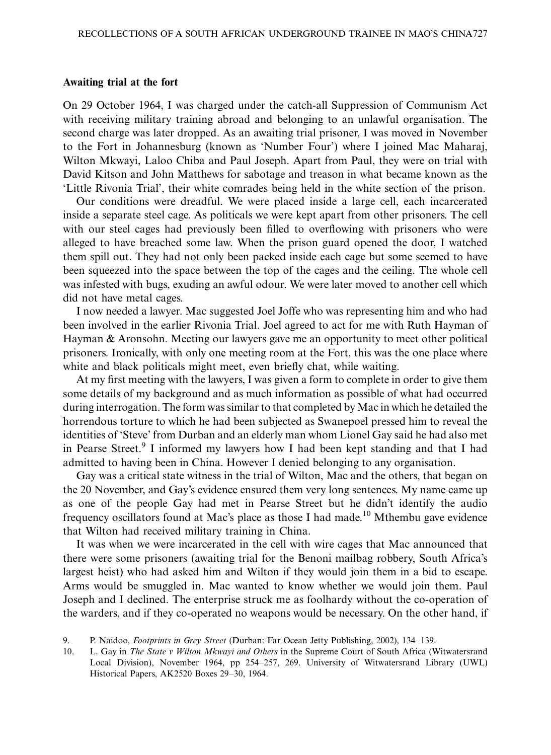# Awaiting trial at the fort

On 29 October 1964, I was charged under the catch-all Suppression of Communism Act with receiving military training abroad and belonging to an unlawful organisation. The second charge was later dropped. As an awaiting trial prisoner, I was moved in November to the Fort in Johannesburg (known as 'Number Four') where I joined Mac Maharaj, Wilton Mkwayi, Laloo Chiba and Paul Joseph. Apart from Paul, they were on trial with David Kitson and John Matthews for sabotage and treason in what became known as the 'Little Rivonia Trial', their white comrades being held in the white section of the prison.

Our conditions were dreadful. We were placed inside a large cell, each incarcerated inside a separate steel cage. As politicals we were kept apart from other prisoners. The cell with our steel cages had previously been filled to overflowing with prisoners who were alleged to have breached some law. When the prison guard opened the door, I watched them spill out. They had not only been packed inside each cage but some seemed to have been squeezed into the space between the top of the cages and the ceiling. The whole cell was infested with bugs, exuding an awful odour. We were later moved to another cell which did not have metal cages.

I now needed a lawyer. Mac suggested Joel Joffe who was representing him and who had been involved in the earlier Rivonia Trial. Joel agreed to act for me with Ruth Hayman of Hayman & Aronsohn. Meeting our lawyers gave me an opportunity to meet other political prisoners. Ironically, with only one meeting room at the Fort, this was the one place where white and black politicals might meet, even briefly chat, while waiting.

At my first meeting with the lawyers, I was given a form to complete in order to give them some details of my background and as much information as possible of what had occurred during interrogation. The form was similar to that completed by Mac in which he detailed the horrendous torture to which he had been subjected as Swanepoel pressed him to reveal the identities of 'Steve' from Durban and an elderly man whom Lionel Gay said he had also met in Pearse Street.<sup>9</sup> I informed my lawyers how I had been kept standing and that I had admitted to having been in China. However I denied belonging to any organisation.

Gay was a critical state witness in the trial of Wilton, Mac and the others, that began on the 20 November, and Gay's evidence ensured them very long sentences. My name came up as one of the people Gay had met in Pearse Street but he didn't identify the audio frequency oscillators found at Mac's place as those I had made.<sup>10</sup> Mthembu gave evidence that Wilton had received military training in China.

It was when we were incarcerated in the cell with wire cages that Mac announced that there were some prisoners (awaiting trial for the Benoni mailbag robbery, South Africa's largest heist) who had asked him and Wilton if they would join them in a bid to escape. Arms would be smuggled in. Mac wanted to know whether we would join them. Paul Joseph and I declined. The enterprise struck me as foolhardy without the co-operation of the warders, and if they co-operated no weapons would be necessary. On the other hand, if

<sup>9.</sup> P. Naidoo, Footprints in Grey Street (Durban: Far Ocean Jetty Publishing, 2002), 134-139.

<sup>10.</sup> L. Gay in The State v Wilton Mkwayi and Others in the Supreme Court of South Africa (Witwatersrand Local Division), November 1964, pp 254-257, 269. University of Witwatersrand Library (UWL) Historical Papers, AK2520 Boxes 29-30, 1964.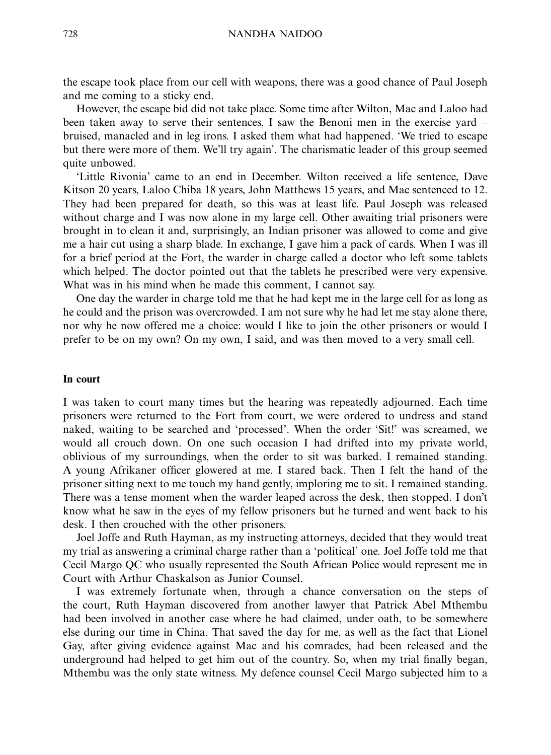the escape took place from our cell with weapons, there was a good chance of Paul Joseph and me coming to a sticky end.

However, the escape bid did not take place. Some time after Wilton, Mac and Laloo had been taken away to serve their sentences, I saw the Benoni men in the exercise yard bruised, manacled and in leg irons. I asked them what had happened. 'We tried to escape but there were more of them. We'll try again'. The charismatic leader of this group seemed quite unbowed.

'Little Rivonia' came to an end in December. Wilton received a life sentence, Dave Kitson 20 years, Laloo Chiba 18 years, John Matthews 15 years, and Mac sentenced to 12. They had been prepared for death, so this was at least life. Paul Joseph was released without charge and I was now alone in my large cell. Other awaiting trial prisoners were brought in to clean it and, surprisingly, an Indian prisoner was allowed to come and give me a hair cut using a sharp blade. In exchange, I gave him a pack of cards. When I was ill for a brief period at the Fort, the warder in charge called a doctor who left some tablets which helped. The doctor pointed out that the tablets he prescribed were very expensive. What was in his mind when he made this comment, I cannot say.

One day the warder in charge told me that he had kept me in the large cell for as long as he could and the prison was overcrowded. I am not sure why he had let me stay alone there, nor why he now offered me a choice: would I like to join the other prisoners or would I prefer to be on my own? On my own, I said, and was then moved to a very small cell.

#### In court

I was taken to court many times but the hearing was repeatedly adjourned. Each time prisoners were returned to the Fort from court, we were ordered to undress and stand naked, waiting to be searched and 'processed'. When the order 'Sit!' was screamed, we would all crouch down. On one such occasion I had drifted into my private world, oblivious of my surroundings, when the order to sit was barked. I remained standing. A young Afrikaner officer glowered at me. I stared back. Then I felt the hand of the prisoner sitting next to me touch my hand gently, imploring me to sit. I remained standing. There was a tense moment when the warder leaped across the desk, then stopped. I don't know what he saw in the eyes of my fellow prisoners but he turned and went back to his desk. I then crouched with the other prisoners.

Joel Joffe and Ruth Hayman, as my instructing attorneys, decided that they would treat my trial as answering a criminal charge rather than a 'political' one. Joel Joffe told me that Cecil Margo QC who usually represented the South African Police would represent me in Court with Arthur Chaskalson as Junior Counsel.

I was extremely fortunate when, through a chance conversation on the steps of the court, Ruth Hayman discovered from another lawyer that Patrick Abel Mthembu had been involved in another case where he had claimed, under oath, to be somewhere else during our time in China. That saved the day for me, as well as the fact that Lionel Gay, after giving evidence against Mac and his comrades, had been released and the underground had helped to get him out of the country. So, when my trial finally began, Mthembu was the only state witness. My defence counsel Cecil Margo subjected him to a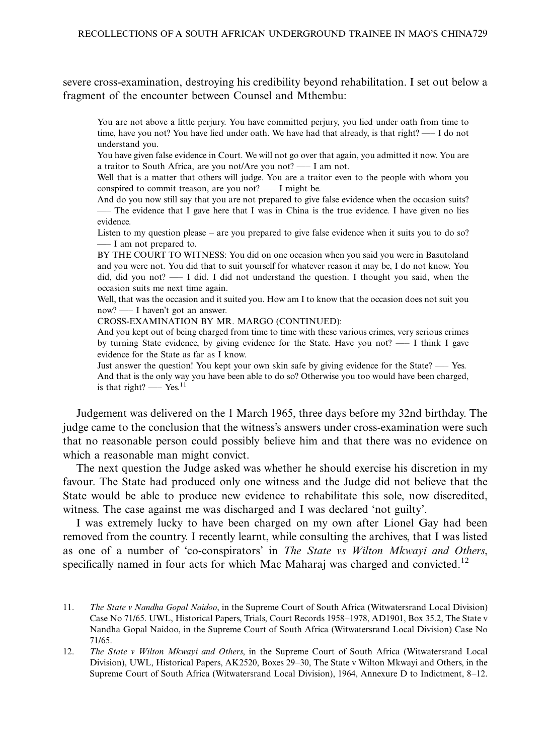severe cross-examination, destroying his credibility beyond rehabilitation. I set out below a fragment of the encounter between Counsel and Mthembu:

You are not above a little perjury. You have committed perjury, you lied under oath from time to time, have you not? You have lied under oath. We have had that already, is that right?  $\frac{1}{\sqrt{2}}$  I do not understand you.

You have given false evidence in Court. We will not go over that again, you admitted it now. You are a traitor to South Africa, are you not/Are you not?  $\frac{1}{\sqrt{2}}$  am not.

Well that is a matter that others will judge. You are a traitor even to the people with whom you conspired to commit treason, are you not?  $\equiv$  I might be.

And do you now still say that you are not prepared to give false evidence when the occasion suits?  $-$  The evidence that I gave here that I was in China is the true evidence. I have given no lies evidence.

Listen to my question please  $-$  are you prepared to give false evidence when it suits you to do so?  $\overline{\phantom{a}}$  I am not prepared to.

BY THE COURT TO WITNESS: You did on one occasion when you said you were in Basutoland and you were not. You did that to suit yourself for whatever reason it may be, I do not know. You did, did you not?  $\frac{1}{\sqrt{1-\frac{1}{\sqrt{1-\frac{1}{\sqrt{1-\frac{1}{\sqrt{1-\frac{1}{\sqrt{1-\frac{1}{\sqrt{1-\frac{1}{\sqrt{1-\frac{1}{\sqrt{1-\frac{1}{\sqrt{1-\frac{1}{\sqrt{1-\frac{1}{\sqrt{1-\frac{1}{\sqrt{1-\frac{1}{\sqrt{1-\frac{1}{\sqrt{1-\frac{1}{\sqrt{1-\frac{1}{\sqrt{1-\frac{1}{\sqrt{1-\frac{1}{\sqrt{1-\frac{1}{\sqrt{1-\frac{1}{\sqrt{1-\frac{1}{\sqrt{1-\frac{1}{\sqrt{1-\frac{1$ occasion suits me next time again.

Well, that was the occasion and it suited you. How am I to know that the occasion does not suit you now?  $\frac{1}{\sqrt{2}}$  I haven't got an answer.

CROSS-EXAMINATION BY MR. MARGO (CONTINUED):

And you kept out of being charged from time to time with these various crimes, very serious crimes by turning State evidence, by giving evidence for the State. Have you not?  $- I$  think I gave evidence for the State as far as I know.

Just answer the question! You kept your own skin safe by giving evidence for the State? — Yes. And that is the only way you have been able to do so? Otherwise you too would have been charged, is that right?  $\frac{1}{\sqrt{1}}$  Yes.<sup>11</sup>

Judgement was delivered on the 1 March 1965, three days before my 32nd birthday. The judge came to the conclusion that the witness's answers under cross-examination were such that no reasonable person could possibly believe him and that there was no evidence on which a reasonable man might convict.

The next question the Judge asked was whether he should exercise his discretion in my favour. The State had produced only one witness and the Judge did not believe that the State would be able to produce new evidence to rehabilitate this sole, now discredited, witness. The case against me was discharged and I was declared 'not guilty'.

I was extremely lucky to have been charged on my own after Lionel Gay had been removed from the country. I recently learnt, while consulting the archives, that I was listed as one of a number of 'co-conspirators' in The State vs Wilton Mkwayi and Others, specifically named in four acts for which Mac Maharaj was charged and convicted.<sup>12</sup>

<sup>11.</sup> The State v Nandha Gopal Naidoo, in the Supreme Court of South Africa (Witwatersrand Local Division) Case No 71/65. UWL, Historical Papers, Trials, Court Records 1958–1978, AD1901, Box 35.2, The State v Nandha Gopal Naidoo, in the Supreme Court of South Africa (Witwatersrand Local Division) Case No 71/65.

<sup>12.</sup> The State v Wilton Mkwayi and Others, in the Supreme Court of South Africa (Witwatersrand Local Division), UWL, Historical Papers, AK2520, Boxes 29–30, The State v Wilton Mkwayi and Others, in the Supreme Court of South Africa (Witwatersrand Local Division), 1964, Annexure D to Indictment, 8-12.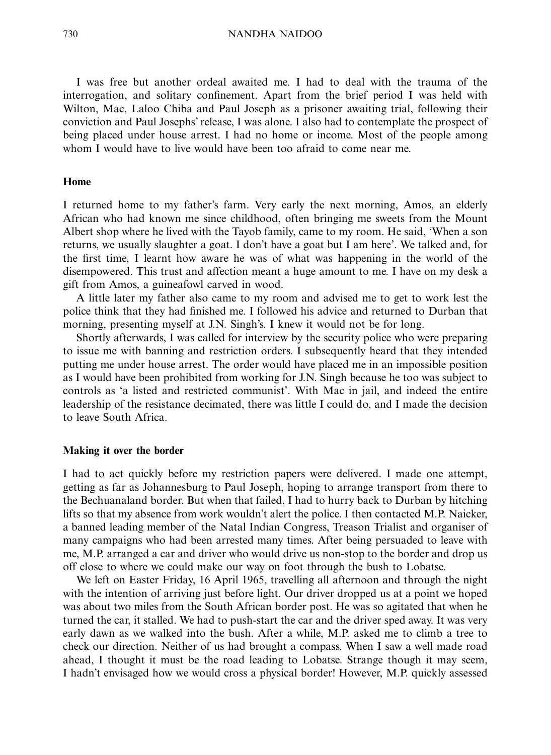I was free but another ordeal awaited me. I had to deal with the trauma of the interrogation, and solitary confinement. Apart from the brief period I was held with Wilton, Mac, Laloo Chiba and Paul Joseph as a prisoner awaiting trial, following their conviction and Paul Josephs' release, I was alone. I also had to contemplate the prospect of being placed under house arrest. I had no home or income. Most of the people among whom I would have to live would have been too afraid to come near me.

# Home

I returned home to my father's farm. Very early the next morning, Amos, an elderly African who had known me since childhood, often bringing me sweets from the Mount Albert shop where he lived with the Tayob family, came to my room. He said, 'When a son returns, we usually slaughter a goat. I don't have a goat but I am here'. We talked and, for the first time, I learnt how aware he was of what was happening in the world of the disempowered. This trust and affection meant a huge amount to me. I have on my desk a gift from Amos, a guineafowl carved in wood.

A little later my father also came to my room and advised me to get to work lest the police think that they had finished me. I followed his advice and returned to Durban that morning, presenting myself at J.N. Singh's. I knew it would not be for long.

Shortly afterwards, I was called for interview by the security police who were preparing to issue me with banning and restriction orders. I subsequently heard that they intended putting me under house arrest. The order would have placed me in an impossible position as I would have been prohibited from working for J.N. Singh because he too was subject to controls as 'a listed and restricted communist'. With Mac in jail, and indeed the entire leadership of the resistance decimated, there was little I could do, and I made the decision to leave South Africa.

#### Making it over the border

I had to act quickly before my restriction papers were delivered. I made one attempt, getting as far as Johannesburg to Paul Joseph, hoping to arrange transport from there to the Bechuanaland border. But when that failed, I had to hurry back to Durban by hitching lifts so that my absence from work wouldn't alert the police. I then contacted M.P. Naicker, a banned leading member of the Natal Indian Congress, Treason Trialist and organiser of many campaigns who had been arrested many times. After being persuaded to leave with me, M.P. arranged a car and driver who would drive us non-stop to the border and drop us off close to where we could make our way on foot through the bush to Lobatse.

We left on Easter Friday, 16 April 1965, travelling all afternoon and through the night with the intention of arriving just before light. Our driver dropped us at a point we hoped was about two miles from the South African border post. He was so agitated that when he turned the car, it stalled. We had to push-start the car and the driver sped away. It was very early dawn as we walked into the bush. After a while, M.P. asked me to climb a tree to check our direction. Neither of us had brought a compass. When I saw a well made road ahead, I thought it must be the road leading to Lobatse. Strange though it may seem, I hadn't envisaged how we would cross a physical border! However, M.P. quickly assessed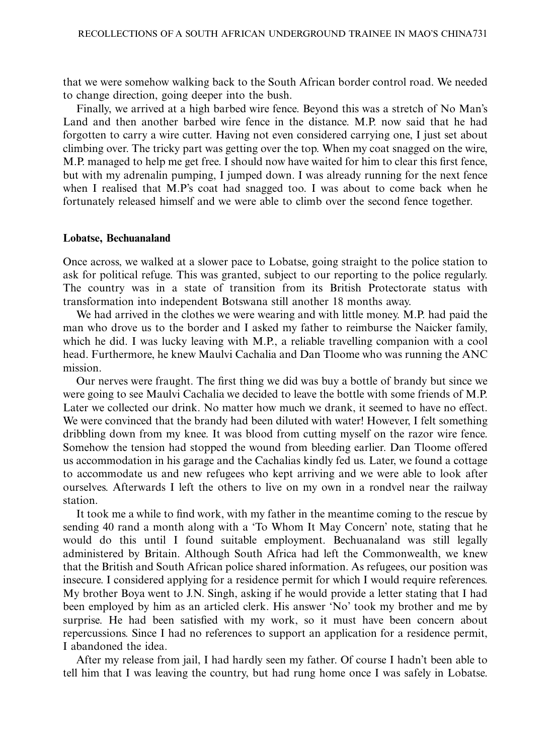that we were somehow walking back to the South African border control road. We needed to change direction, going deeper into the bush.

Finally, we arrived at a high barbed wire fence. Beyond this was a stretch of No Man's Land and then another barbed wire fence in the distance. M.P. now said that he had forgotten to carry a wire cutter. Having not even considered carrying one, I just set about climbing over. The tricky part was getting over the top. When my coat snagged on the wire, M.P. managed to help me get free. I should now have waited for him to clear this first fence, but with my adrenalin pumping, I jumped down. I was already running for the next fence when I realised that M.P's coat had snagged too. I was about to come back when he fortunately released himself and we were able to climb over the second fence together.

#### Lobatse, Bechuanaland

Once across, we walked at a slower pace to Lobatse, going straight to the police station to ask for political refuge. This was granted, subject to our reporting to the police regularly. The country was in a state of transition from its British Protectorate status with transformation into independent Botswana still another 18 months away.

We had arrived in the clothes we were wearing and with little money. M.P. had paid the man who drove us to the border and I asked my father to reimburse the Naicker family, which he did. I was lucky leaving with M.P., a reliable travelling companion with a cool head. Furthermore, he knew Maulvi Cachalia and Dan Tloome who was running the ANC mission.

Our nerves were fraught. The first thing we did was buy a bottle of brandy but since we were going to see Maulvi Cachalia we decided to leave the bottle with some friends of M.P. Later we collected our drink. No matter how much we drank, it seemed to have no effect. We were convinced that the brandy had been diluted with water! However, I felt something dribbling down from my knee. It was blood from cutting myself on the razor wire fence. Somehow the tension had stopped the wound from bleeding earlier. Dan Tloome offered us accommodation in his garage and the Cachalias kindly fed us. Later, we found a cottage to accommodate us and new refugees who kept arriving and we were able to look after ourselves. Afterwards I left the others to live on my own in a rondvel near the railway station.

It took me a while to find work, with my father in the meantime coming to the rescue by sending 40 rand a month along with a 'To Whom It May Concern' note, stating that he would do this until I found suitable employment. Bechuanaland was still legally administered by Britain. Although South Africa had left the Commonwealth, we knew that the British and South African police shared information. As refugees, our position was insecure. I considered applying for a residence permit for which I would require references. My brother Boya went to J.N. Singh, asking if he would provide a letter stating that I had been employed by him as an articled clerk. His answer 'No' took my brother and me by surprise. He had been satisfied with my work, so it must have been concern about repercussions. Since I had no references to support an application for a residence permit, I abandoned the idea.

After my release from jail, I had hardly seen my father. Of course I hadn't been able to tell him that I was leaving the country, but had rung home once I was safely in Lobatse.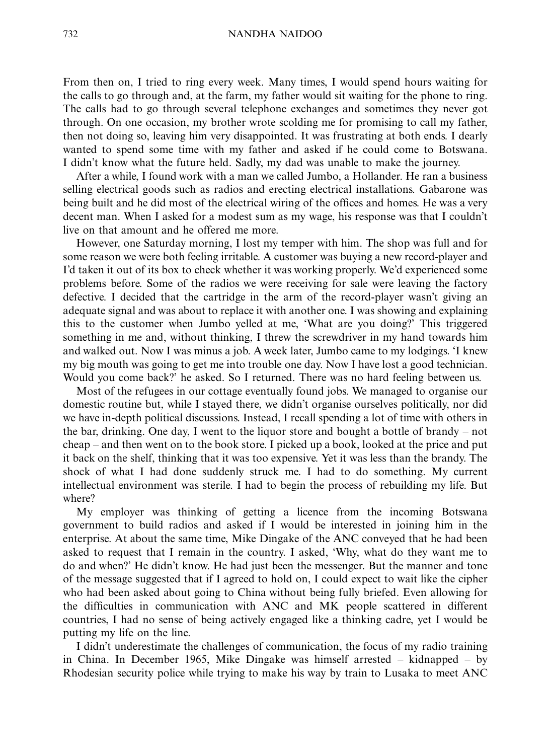From then on, I tried to ring every week. Many times, I would spend hours waiting for the calls to go through and, at the farm, my father would sit waiting for the phone to ring. The calls had to go through several telephone exchanges and sometimes they never got through. On one occasion, my brother wrote scolding me for promising to call my father, then not doing so, leaving him very disappointed. It was frustrating at both ends. I dearly wanted to spend some time with my father and asked if he could come to Botswana. I didn't know what the future held. Sadly, my dad was unable to make the journey.

After a while, I found work with a man we called Jumbo, a Hollander. He ran a business selling electrical goods such as radios and erecting electrical installations. Gabarone was being built and he did most of the electrical wiring of the offices and homes. He was a very decent man. When I asked for a modest sum as my wage, his response was that I couldn't live on that amount and he offered me more.

However, one Saturday morning, I lost my temper with him. The shop was full and for some reason we were both feeling irritable. A customer was buying a new record-player and I'd taken it out of its box to check whether it was working properly. We'd experienced some problems before. Some of the radios we were receiving for sale were leaving the factory defective. I decided that the cartridge in the arm of the record-player wasn't giving an adequate signal and was about to replace it with another one. I was showing and explaining this to the customer when Jumbo yelled at me, 'What are you doing?' This triggered something in me and, without thinking, I threw the screwdriver in my hand towards him and walked out. Now I was minus a job. A week later, Jumbo came to my lodgings. 'I knew my big mouth was going to get me into trouble one day. Now I have lost a good technician. Would you come back?' he asked. So I returned. There was no hard feeling between us.

Most of the refugees in our cottage eventually found jobs. We managed to organise our domestic routine but, while I stayed there, we didn't organise ourselves politically, nor did we have in-depth political discussions. Instead, I recall spending a lot of time with others in the bar, drinking. One day, I went to the liquor store and bought a bottle of brandy  $-$  not cheap – and then went on to the book store. I picked up a book, looked at the price and put it back on the shelf, thinking that it was too expensive. Yet it was less than the brandy. The shock of what I had done suddenly struck me. I had to do something. My current intellectual environment was sterile. I had to begin the process of rebuilding my life. But where?

My employer was thinking of getting a licence from the incoming Botswana government to build radios and asked if I would be interested in joining him in the enterprise. At about the same time, Mike Dingake of the ANC conveyed that he had been asked to request that I remain in the country. I asked, 'Why, what do they want me to do and when?' He didn't know. He had just been the messenger. But the manner and tone of the message suggested that if I agreed to hold on, I could expect to wait like the cipher who had been asked about going to China without being fully briefed. Even allowing for the difficulties in communication with ANC and MK people scattered in different countries, I had no sense of being actively engaged like a thinking cadre, yet I would be putting my life on the line.

I didn't underestimate the challenges of communication, the focus of my radio training in China. In December 1965, Mike Dingake was himself arrested  $-$  kidnapped  $-$  by Rhodesian security police while trying to make his way by train to Lusaka to meet ANC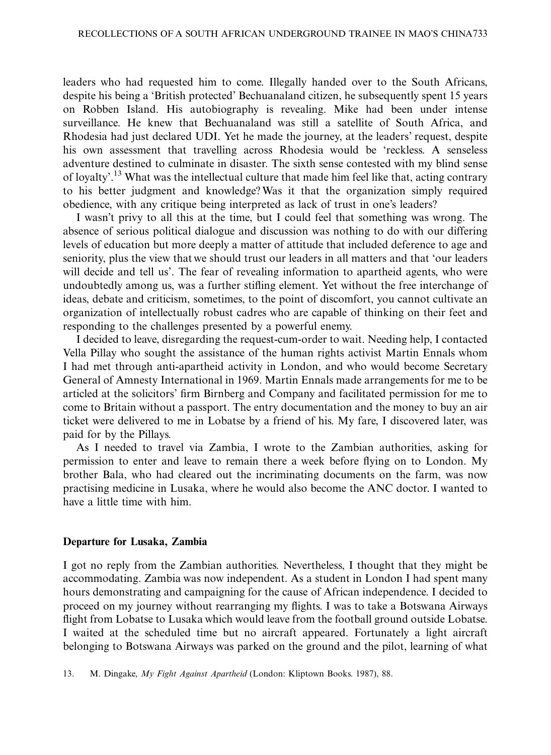leaders who had requested him to come. Illegally handed over to the South Africans, despite his being a 'British protected' Bechuanaland citizen, he subsequently spent 15 years on Robben Island. His autobiography is revealing. Mike had been under intense surveillance. He knew that Bechuanaland was still a satellite of South Africa, and Rhodesia had just declared UDI. Yet he made the journey, at the leaders' request, despite his own assessment that travelling across Rhodesia would be 'reckless. A senseless adventure destined to culminate in disaster. The sixth sense contested with my blind sense of loyalty'.<sup>13</sup> What was the intellectual culture that made him feel like that, acting contrary to his better judgment and knowledge? Was it that the organization simply required obedience, with any critique being interpreted as lack of trust in one's leaders?

I wasn't privy to all this at the time, but I could feel that something was wrong. The absence of serious political dialogue and discussion was nothing to do with our differing levels of education but more deeply a matter of attitude that included deference to age and seniority, plus the view that we should trust our leaders in all matters and that 'our leaders will decide and tell us'. The fear of revealing information to apartheid agents, who were undoubtedly among us, was a further stifling element. Yet without the free interchange of ideas, debate and criticism, sometimes, to the point of discomfort, you cannot cultivate an organization of intellectually robust cadres who are capable of thinking on their feet and responding to the challenges presented by a powerful enemy.

I decided to leave, disregarding the request-cum-order to wait. Needing help, I contacted Vella Pillay who sought the assistance of the human rights activist Martin Ennals whom I had met through anti-apartheid activity in London, and who would become Secretary General of Amnesty International in 1969. Martin Ennals made arrangements for me to be articled at the solicitors' firm Birnberg and Company and facilitated permission for me to come to Britain without a passport. The entry documentation and the money to buy an air ticket were delivered to me in Lobatse by a friend of his. My fare, I discovered later, was paid for by the Pillays.

As I needed to travel via Zambia, I wrote to the Zambian authorities, asking for permission to enter and leave to remain there a week before flying on to London. My brother Bala, who had cleared out the incriminating documents on the farm, was now practising medicine in Lusaka, where he would also become the ANC doctor. I wanted to have a little time with him.

# Departure for Lusaka, Zambia

I got no reply from the Zambian authorities. Nevertheless, I thought that they might be accommodating. Zambia was now independent. As a student in London I had spent many hours demonstrating and campaigning for the cause of African independence. I decided to proceed on my journey without rearranging my flights. I was to take a Botswana Airways flight from Lobatse to Lusaka which would leave from the football ground outside Lobatse. I waited at the scheduled time but no aircraft appeared. Fortunately a light aircraft belonging to Botswana Airways was parked on the ground and the pilot, learning of what

13. M. Dingake, My Fight Against Apartheid (London: Kliptown Books. 1987), 88.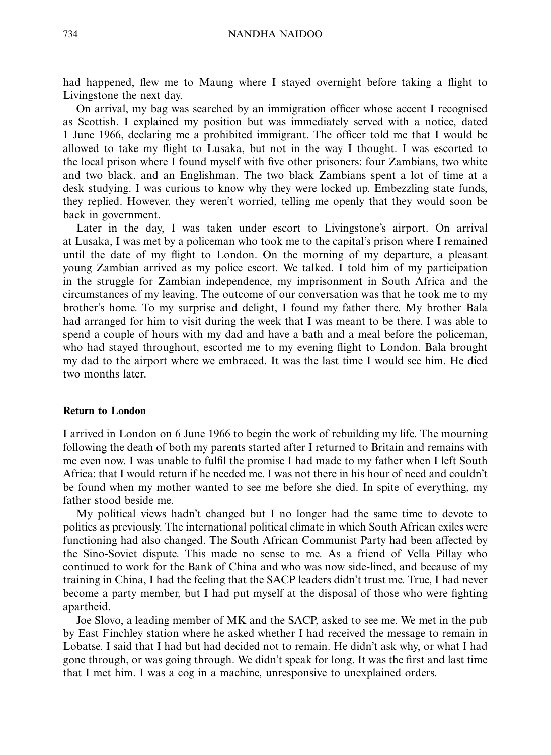had happened, flew me to Maung where I stayed overnight before taking a flight to Livingstone the next day.

On arrival, my bag was searched by an immigration officer whose accent I recognised as Scottish. I explained my position but was immediately served with a notice, dated 1 June 1966, declaring me a prohibited immigrant. The officer told me that I would be allowed to take my flight to Lusaka, but not in the way I thought. I was escorted to the local prison where I found myself with five other prisoners: four Zambians, two white and two black, and an Englishman. The two black Zambians spent a lot of time at a desk studying. I was curious to know why they were locked up. Embezzling state funds, they replied. However, they weren't worried, telling me openly that they would soon be back in government.

Later in the day, I was taken under escort to Livingstone's airport. On arrival at Lusaka, I was met by a policeman who took me to the capital's prison where I remained until the date of my flight to London. On the morning of my departure, a pleasant young Zambian arrived as my police escort. We talked. I told him of my participation in the struggle for Zambian independence, my imprisonment in South Africa and the circumstances of my leaving. The outcome of our conversation was that he took me to my brother's home. To my surprise and delight, I found my father there. My brother Bala had arranged for him to visit during the week that I was meant to be there. I was able to spend a couple of hours with my dad and have a bath and a meal before the policeman, who had stayed throughout, escorted me to my evening flight to London. Bala brought my dad to the airport where we embraced. It was the last time I would see him. He died two months later.

#### Return to London

I arrived in London on 6 June 1966 to begin the work of rebuilding my life. The mourning following the death of both my parents started after I returned to Britain and remains with me even now. I was unable to fulfil the promise I had made to my father when I left South Africa: that I would return if he needed me. I was not there in his hour of need and couldn't be found when my mother wanted to see me before she died. In spite of everything, my father stood beside me.

My political views hadn't changed but I no longer had the same time to devote to politics as previously. The international political climate in which South African exiles were functioning had also changed. The South African Communist Party had been affected by the Sino-Soviet dispute. This made no sense to me. As a friend of Vella Pillay who continued to work for the Bank of China and who was now side-lined, and because of my training in China, I had the feeling that the SACP leaders didn't trust me. True, I had never become a party member, but I had put myself at the disposal of those who were fighting apartheid.

Joe Slovo, a leading member of MK and the SACP, asked to see me. We met in the pub by East Finchley station where he asked whether I had received the message to remain in Lobatse. I said that I had but had decided not to remain. He didn't ask why, or what I had gone through, or was going through. We didn't speak for long. It was the first and last time that I met him. I was a cog in a machine, unresponsive to unexplained orders.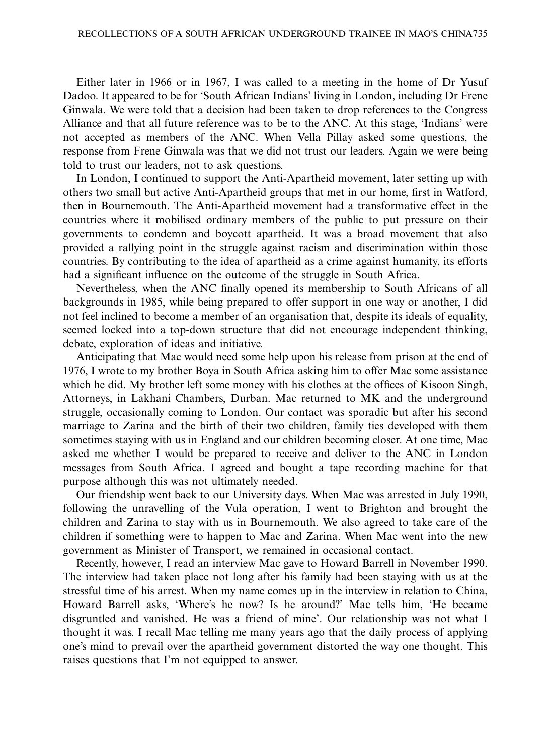Either later in 1966 or in 1967, I was called to a meeting in the home of Dr Yusuf Dadoo. It appeared to be for 'South African Indians' living in London, including Dr Frene Ginwala. We were told that a decision had been taken to drop references to the Congress Alliance and that all future reference was to be to the ANC. At this stage, 'Indians' were not accepted as members of the ANC. When Vella Pillay asked some questions, the response from Frene Ginwala was that we did not trust our leaders. Again we were being told to trust our leaders, not to ask questions.

In London, I continued to support the Anti-Apartheid movement, later setting up with others two small but active Anti-Apartheid groups that met in our home, first in Watford, then in Bournemouth. The Anti-Apartheid movement had a transformative effect in the countries where it mobilised ordinary members of the public to put pressure on their governments to condemn and boycott apartheid. It was a broad movement that also provided a rallying point in the struggle against racism and discrimination within those countries. By contributing to the idea of apartheid as a crime against humanity, its efforts had a significant influence on the outcome of the struggle in South Africa.

Nevertheless, when the ANC finally opened its membership to South Africans of all backgrounds in 1985, while being prepared to offer support in one way or another, I did not feel inclined to become a member of an organisation that, despite its ideals of equality, seemed locked into a top-down structure that did not encourage independent thinking, debate, exploration of ideas and initiative.

Anticipating that Mac would need some help upon his release from prison at the end of 1976, I wrote to my brother Boya in South Africa asking him to offer Mac some assistance which he did. My brother left some money with his clothes at the offices of Kisoon Singh, Attorneys, in Lakhani Chambers, Durban. Mac returned to MK and the underground struggle, occasionally coming to London. Our contact was sporadic but after his second marriage to Zarina and the birth of their two children, family ties developed with them sometimes staying with us in England and our children becoming closer. At one time, Mac asked me whether I would be prepared to receive and deliver to the ANC in London messages from South Africa. I agreed and bought a tape recording machine for that purpose although this was not ultimately needed.

Our friendship went back to our University days. When Mac was arrested in July 1990, following the unravelling of the Vula operation, I went to Brighton and brought the children and Zarina to stay with us in Bournemouth. We also agreed to take care of the children if something were to happen to Mac and Zarina. When Mac went into the new government as Minister of Transport, we remained in occasional contact.

Recently, however, I read an interview Mac gave to Howard Barrell in November 1990. The interview had taken place not long after his family had been staying with us at the stressful time of his arrest. When my name comes up in the interview in relation to China, Howard Barrell asks, 'Where's he now? Is he around?' Mac tells him, 'He became disgruntled and vanished. He was a friend of mine'. Our relationship was not what I thought it was. I recall Mac telling me many years ago that the daily process of applying one's mind to prevail over the apartheid government distorted the way one thought. This raises questions that I'm not equipped to answer.